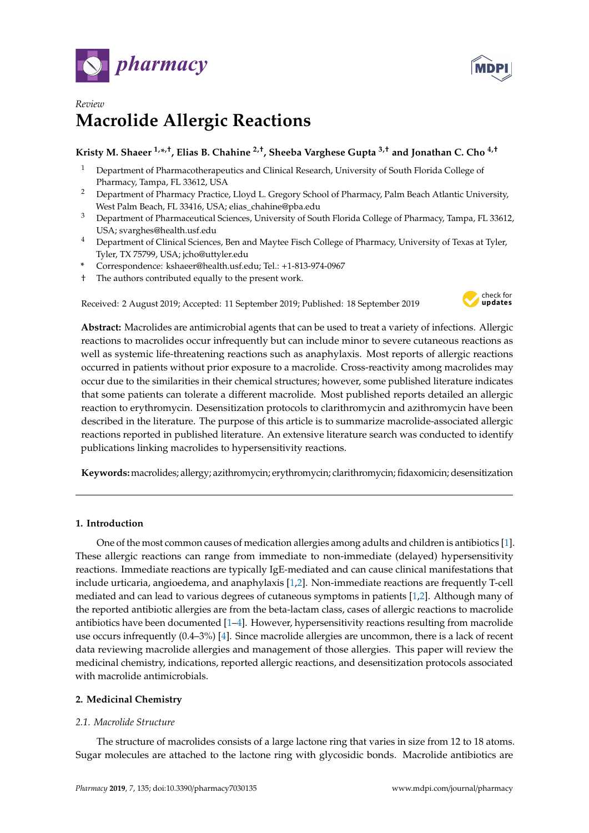



# *Review* **Macrolide Allergic Reactions**

## **Kristy M. Shaeer 1,\* ,**† **, Elias B. Chahine 2,**† **, Sheeba Varghese Gupta 3,**† **and Jonathan C. Cho 4,**†

- <sup>1</sup> Department of Pharmacotherapeutics and Clinical Research, University of South Florida College of Pharmacy, Tampa, FL 33612, USA
- <sup>2</sup> Department of Pharmacy Practice, Lloyd L. Gregory School of Pharmacy, Palm Beach Atlantic University, West Palm Beach, FL 33416, USA; elias\_chahine@pba.edu
- <sup>3</sup> Department of Pharmaceutical Sciences, University of South Florida College of Pharmacy, Tampa, FL 33612, USA; svarghes@health.usf.edu
- <sup>4</sup> Department of Clinical Sciences, Ben and Maytee Fisch College of Pharmacy, University of Texas at Tyler, Tyler, TX 75799, USA; jcho@uttyler.edu
- **\*** Correspondence: kshaeer@health.usf.edu; Tel.: +1-813-974-0967
- † The authors contributed equally to the present work.

Received: 2 August 2019; Accepted: 11 September 2019; Published: 18 September 2019



**Abstract:** Macrolides are antimicrobial agents that can be used to treat a variety of infections. Allergic reactions to macrolides occur infrequently but can include minor to severe cutaneous reactions as well as systemic life-threatening reactions such as anaphylaxis. Most reports of allergic reactions occurred in patients without prior exposure to a macrolide. Cross-reactivity among macrolides may occur due to the similarities in their chemical structures; however, some published literature indicates that some patients can tolerate a different macrolide. Most published reports detailed an allergic reaction to erythromycin. Desensitization protocols to clarithromycin and azithromycin have been described in the literature. The purpose of this article is to summarize macrolide-associated allergic reactions reported in published literature. An extensive literature search was conducted to identify publications linking macrolides to hypersensitivity reactions.

**Keywords:**macrolides; allergy; azithromycin; erythromycin; clarithromycin; fidaxomicin; desensitization

## **1. Introduction**

One of the most common causes of medication allergies among adults and children is antibiotics [\[1\]](#page-16-0). These allergic reactions can range from immediate to non-immediate (delayed) hypersensitivity reactions. Immediate reactions are typically IgE-mediated and can cause clinical manifestations that include urticaria, angioedema, and anaphylaxis [\[1](#page-16-0)[,2\]](#page-16-1). Non-immediate reactions are frequently T-cell mediated and can lead to various degrees of cutaneous symptoms in patients [\[1](#page-16-0)[,2\]](#page-16-1). Although many of the reported antibiotic allergies are from the beta-lactam class, cases of allergic reactions to macrolide antibiotics have been documented [\[1–](#page-16-0)[4\]](#page-16-2). However, hypersensitivity reactions resulting from macrolide use occurs infrequently (0.4–3%) [\[4\]](#page-16-2). Since macrolide allergies are uncommon, there is a lack of recent data reviewing macrolide allergies and management of those allergies. This paper will review the medicinal chemistry, indications, reported allergic reactions, and desensitization protocols associated with macrolide antimicrobials.

## **2. Medicinal Chemistry**

## *2.1. Macrolide Structure*

The structure of macrolides consists of a large lactone ring that varies in size from 12 to 18 atoms. Sugar molecules are attached to the lactone ring with glycosidic bonds. Macrolide antibiotics are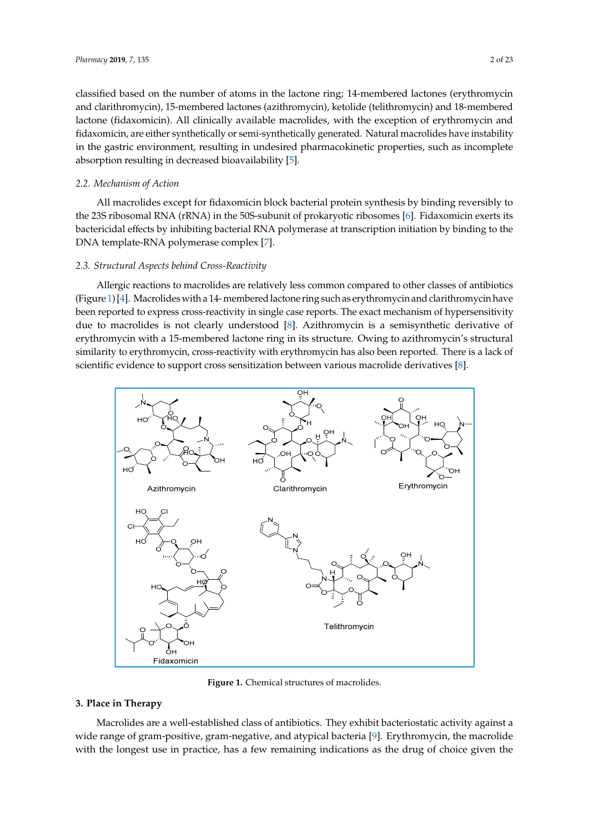classified based on the number of atoms in the lactone ring; 14-membered lactones (erythromycin) and clarithromycin), 15-membered lactones (azithromycin), ketolide (telithromycin) and 18-membered lactone (fidaxomicin). All clinically available macrolides, with the exception of erythromycin and fidaxomicin, are either synthetically or semi-synthetically generated. Natural macrolides have instability in the gastric environment, resulting in undesired pharmacokinetic properties, such as incomplete absorption resulting in decreased bioavailability [\[5\]](#page-16-3). and clarithromycin), 15-membered lactones (azithromycin), ketolide (telithromycin) and 18-membered<br>lactone (fidaxomicin). All clinically available macrolides, with the exception of erythromycin and<br>fidaxomicin, are either

#### *2.2. Mechanism of Action*  $A$ l macrolides except for fidayomicin block bacterial protein synthesis by binding reversiblesis by binding reversibles

All macrolides except for fidaxomicin block bacterial protein synthesis by binding reversibly to the 23S ribosomal RNA (rRNA) in the 50S-subunit of prokaryotic ribosomes [\[6\]](#page-16-4). Fidaxomicin exerts its bactericidal effects by inhibiting bacterial RNA polymerase at transcription initiation by binding to the DNA template-RNA polymerase complex [\[7\]](#page-16-5).

#### *2.3. Structural Aspects behind Cross-Reactivity 2.3. Structural Aspects behind Cross-Reactivity*

Allergic reactions to macrolides are relatively less common compared to other classes of antibiotics (Figure [1\)](#page-1-0) [\[4\]](#page-16-2). Macrolides with a 14- membered lactone ring such as erythromycin and clarithromycin have<br> been reported to express cross-reactivity in single case reports. The exact mechanism of hypersensitivity  $\overline{\phantom{a}}$ due to macrolides is not clearly understood [\[8\]](#page-16-6). Azithromycin is a semisynthetic derivative of erythromycin with a 15-membered lactone ring in its structure. Owing to azithromycin's structural similarity to erythromycin, cross-reactivity with erythromycin has also been reported. There is a lack of scientific evidence to support cross sensitization between various macrolide derivatives [\[8\]](#page-16-6). macrolide derivatives [8]. Allergic reactions to macrolides are relatively less common compared to other classes of Antigu reactions to macronides are relatively less common compared to other classes of antipolities

<span id="page-1-0"></span>

Figure 1. Chemical structures of macrolides.

#### **3. Place in Therapy**

Macrolides are a well-established class of antibiotics. They exhibit bacteriostatic activity against a wide range of gram-positive, gram-negative, and atypical bacteria [\[9\]](#page-17-0). Erythromycin, the macrolide with the longest use in practice, has a few remaining indications as the drug of choice given the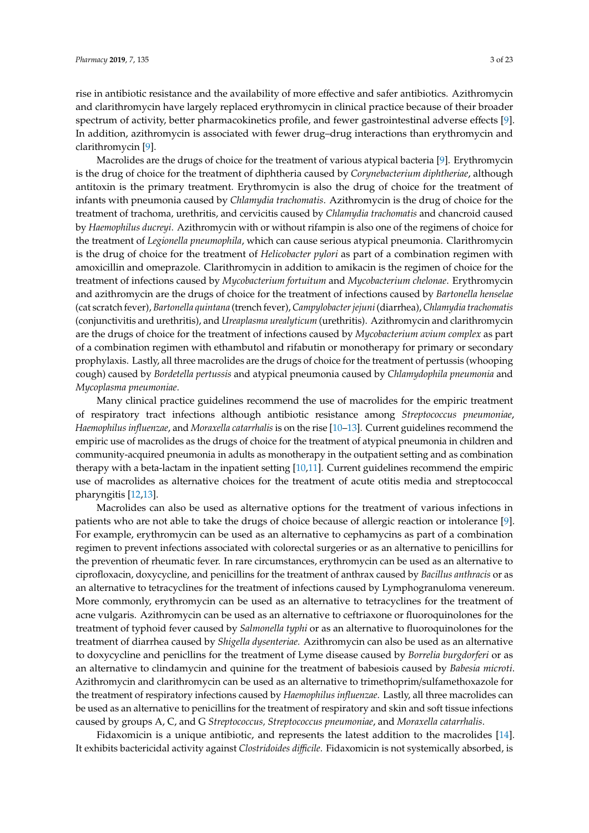rise in antibiotic resistance and the availability of more effective and safer antibiotics. Azithromycin and clarithromycin have largely replaced erythromycin in clinical practice because of their broader spectrum of activity, better pharmacokinetics profile, and fewer gastrointestinal adverse effects [\[9\]](#page-17-0). In addition, azithromycin is associated with fewer drug–drug interactions than erythromycin and clarithromycin [\[9\]](#page-17-0).

Macrolides are the drugs of choice for the treatment of various atypical bacteria [\[9\]](#page-17-0). Erythromycin is the drug of choice for the treatment of diphtheria caused by *Corynebacterium diphtheriae*, although antitoxin is the primary treatment. Erythromycin is also the drug of choice for the treatment of infants with pneumonia caused by *Chlamydia trachomatis*. Azithromycin is the drug of choice for the treatment of trachoma, urethritis, and cervicitis caused by *Chlamydia trachomatis* and chancroid caused by *Haemophilus ducreyi*. Azithromycin with or without rifampin is also one of the regimens of choice for the treatment of *Legionella pneumophila*, which can cause serious atypical pneumonia. Clarithromycin is the drug of choice for the treatment of *Helicobacter pylori* as part of a combination regimen with amoxicillin and omeprazole. Clarithromycin in addition to amikacin is the regimen of choice for the treatment of infections caused by *Mycobacterium fortuitum* and *Mycobacterium chelonae*. Erythromycin and azithromycin are the drugs of choice for the treatment of infections caused by *Bartonella henselae* (cat scratch fever), *Bartonella quintana* (trench fever), *Campylobacter jejuni*(diarrhea), *Chlamydia trachomatis* (conjunctivitis and urethritis), and *Ureaplasma urealyticum* (urethritis). Azithromycin and clarithromycin are the drugs of choice for the treatment of infections caused by *Mycobacterium avium complex* as part of a combination regimen with ethambutol and rifabutin or monotherapy for primary or secondary prophylaxis. Lastly, all three macrolides are the drugs of choice for the treatment of pertussis (whooping cough) caused by *Bordetella pertussis* and atypical pneumonia caused by *Chlamydophila pneumonia* and *Mycoplasma pneumoniae*.

Many clinical practice guidelines recommend the use of macrolides for the empiric treatment of respiratory tract infections although antibiotic resistance among *Streptococcus pneumoniae*, *Haemophilus influenzae*, and *Moraxella catarrhalis* is on the rise [\[10](#page-17-1)[–13\]](#page-17-2). Current guidelines recommend the empiric use of macrolides as the drugs of choice for the treatment of atypical pneumonia in children and community-acquired pneumonia in adults as monotherapy in the outpatient setting and as combination therapy with a beta-lactam in the inpatient setting [\[10,](#page-17-1)[11\]](#page-17-3). Current guidelines recommend the empiric use of macrolides as alternative choices for the treatment of acute otitis media and streptococcal pharyngitis [\[12,](#page-17-4)[13\]](#page-17-2).

Macrolides can also be used as alternative options for the treatment of various infections in patients who are not able to take the drugs of choice because of allergic reaction or intolerance [\[9\]](#page-17-0). For example, erythromycin can be used as an alternative to cephamycins as part of a combination regimen to prevent infections associated with colorectal surgeries or as an alternative to penicillins for the prevention of rheumatic fever. In rare circumstances, erythromycin can be used as an alternative to ciprofloxacin, doxycycline, and penicillins for the treatment of anthrax caused by *Bacillus anthracis* or as an alternative to tetracyclines for the treatment of infections caused by Lymphogranuloma venereum. More commonly, erythromycin can be used as an alternative to tetracyclines for the treatment of acne vulgaris. Azithromycin can be used as an alternative to ceftriaxone or fluoroquinolones for the treatment of typhoid fever caused by *Salmonella typhi* or as an alternative to fluoroquinolones for the treatment of diarrhea caused by *Shigella dysenteriae.* Azithromycin can also be used as an alternative to doxycycline and penicllins for the treatment of Lyme disease caused by *Borrelia burgdorferi* or as an alternative to clindamycin and quinine for the treatment of babesiois caused by *Babesia microti*. Azithromycin and clarithromycin can be used as an alternative to trimethoprim/sulfamethoxazole for the treatment of respiratory infections caused by *Haemophilus influenzae*. Lastly, all three macrolides can be used as an alternative to penicillins for the treatment of respiratory and skin and soft tissue infections caused by groups A, C, and G *Streptococcus, Streptococcus pneumoniae*, and *Moraxella catarrhalis*.

Fidaxomicin is a unique antibiotic, and represents the latest addition to the macrolides [\[14\]](#page-17-5). It exhibits bactericidal activity against *Clostridoides di*ffi*cile*. Fidaxomicin is not systemically absorbed, is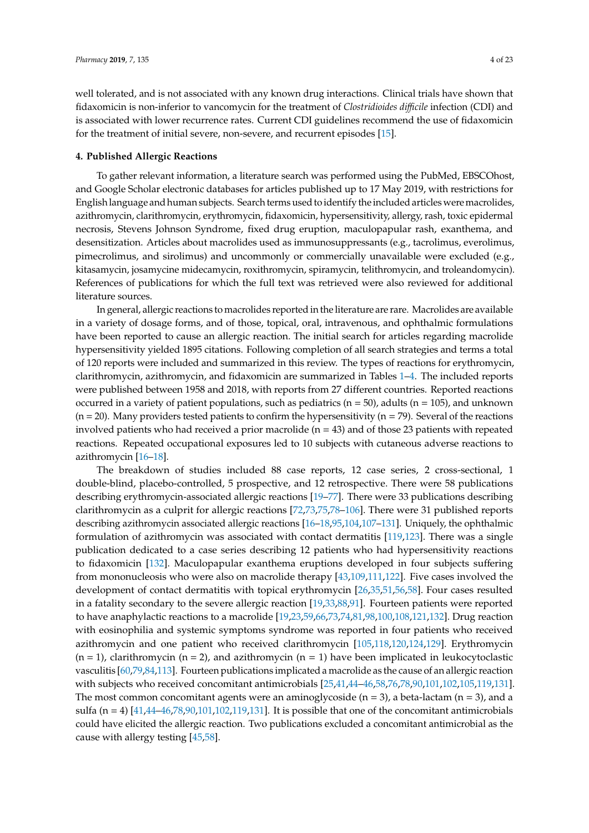well tolerated, and is not associated with any known drug interactions. Clinical trials have shown that fidaxomicin is non-inferior to vancomycin for the treatment of *Clostridioides di*ffi*cile* infection (CDI) and is associated with lower recurrence rates. Current CDI guidelines recommend the use of fidaxomicin for the treatment of initial severe, non-severe, and recurrent episodes [\[15\]](#page-17-6).

#### **4. Published Allergic Reactions**

To gather relevant information, a literature search was performed using the PubMed, EBSCOhost, and Google Scholar electronic databases for articles published up to 17 May 2019, with restrictions for English language and human subjects. Search terms used to identify the included articles weremacrolides, azithromycin, clarithromycin, erythromycin, fidaxomicin, hypersensitivity, allergy, rash, toxic epidermal necrosis, Stevens Johnson Syndrome, fixed drug eruption, maculopapular rash, exanthema, and desensitization. Articles about macrolides used as immunosuppressants (e.g., tacrolimus, everolimus, pimecrolimus, and sirolimus) and uncommonly or commercially unavailable were excluded (e.g., kitasamycin, josamycine midecamycin, roxithromycin, spiramycin, telithromycin, and troleandomycin). References of publications for which the full text was retrieved were also reviewed for additional literature sources.

In general, allergic reactions to macrolides reported in the literature are rare. Macrolides are available in a variety of dosage forms, and of those, topical, oral, intravenous, and ophthalmic formulations have been reported to cause an allergic reaction. The initial search for articles regarding macrolide hypersensitivity yielded 1895 citations. Following completion of all search strategies and terms a total of 120 reports were included and summarized in this review. The types of reactions for erythromycin, clarithromycin, azithromycin, and fidaxomicin are summarized in Tables [1](#page-7-0)[–4.](#page-13-0) The included reports were published between 1958 and 2018, with reports from 27 different countries. Reported reactions occurred in a variety of patient populations, such as pediatrics ( $n = 50$ ), adults ( $n = 105$ ), and unknown  $(n = 20)$ . Many providers tested patients to confirm the hypersensitivity  $(n = 79)$ . Several of the reactions involved patients who had received a prior macrolide  $(n = 43)$  and of those 23 patients with repeated reactions. Repeated occupational exposures led to 10 subjects with cutaneous adverse reactions to azithromycin [\[16](#page-17-7)[–18\]](#page-17-8).

The breakdown of studies included 88 case reports, 12 case series, 2 cross-sectional, 1 double-blind, placebo-controlled, 5 prospective, and 12 retrospective. There were 58 publications describing erythromycin-associated allergic reactions [\[19–](#page-17-9)[77\]](#page-19-0). There were 33 publications describing clarithromycin as a culprit for allergic reactions [\[72](#page-19-1)[,73](#page-19-2)[,75](#page-19-3)[,78–](#page-19-4)[106\]](#page-20-0). There were 31 published reports describing azithromycin associated allergic reactions [\[16–](#page-17-7)[18](#page-17-8)[,95](#page-20-1)[,104,](#page-20-2)[107–](#page-21-0)[131\]](#page-22-0). Uniquely, the ophthalmic formulation of azithromycin was associated with contact dermatitis [\[119](#page-21-1)[,123\]](#page-21-2). There was a single publication dedicated to a case series describing 12 patients who had hypersensitivity reactions to fidaxomicin [\[132\]](#page-22-1). Maculopapular exanthema eruptions developed in four subjects suffering from mononucleosis who were also on macrolide therapy [\[43](#page-18-0)[,109](#page-21-3)[,111](#page-21-4)[,122\]](#page-21-5). Five cases involved the development of contact dermatitis with topical erythromycin [\[26](#page-17-10)[,35](#page-18-1)[,51](#page-18-2)[,56](#page-18-3)[,58\]](#page-19-5). Four cases resulted in a fatality secondary to the severe allergic reaction [\[19,](#page-17-9)[33,](#page-18-4)[88,](#page-20-3)[91\]](#page-20-4). Fourteen patients were reported to have anaphylactic reactions to a macrolide [\[19](#page-17-9)[,23](#page-17-11)[,59](#page-19-6)[,66](#page-19-7)[,73](#page-19-2)[,74,](#page-19-8)[81,](#page-19-9)[98,](#page-20-5)[100,](#page-20-6)[108,](#page-21-6)[121,](#page-21-7)[132\]](#page-22-1). Drug reaction with eosinophilia and systemic symptoms syndrome was reported in four patients who received azithromycin and one patient who received clarithromycin [\[105](#page-20-7)[,118](#page-21-8)[,120](#page-21-9)[,124](#page-21-10)[,129\]](#page-21-11). Erythromycin  $(n = 1)$ , clarithromycin  $(n = 2)$ , and azithromycin  $(n = 1)$  have been implicated in leukocytoclastic vasculitis [\[60,](#page-19-10)[79,](#page-19-11)[84,](#page-19-12)[113\]](#page-21-12). Fourteen publications implicated a macrolide as the cause of an allergic reaction with subjects who received concomitant antimicrobials [\[25,](#page-17-12)[41,](#page-18-5)[44](#page-18-6)[–46,](#page-18-7)[58,](#page-19-5)[76,](#page-19-13)[78,](#page-19-4)[90,](#page-20-8)[101,](#page-20-9)[102,](#page-20-10)[105,](#page-20-7)[119,](#page-21-1)[131\]](#page-22-0). The most common concomitant agents were an aminoglycoside ( $n = 3$ ), a beta-lactam ( $n = 3$ ), and a sulfa  $(n = 4)$  [\[41,](#page-18-5)[44–](#page-18-6)[46,](#page-18-7)[78,](#page-19-4)[90](#page-20-8)[,101](#page-20-9)[,102](#page-20-10)[,119](#page-21-1)[,131\]](#page-22-0). It is possible that one of the concomitant antimicrobials could have elicited the allergic reaction. Two publications excluded a concomitant antimicrobial as the cause with allergy testing [\[45,](#page-18-8)[58\]](#page-19-5).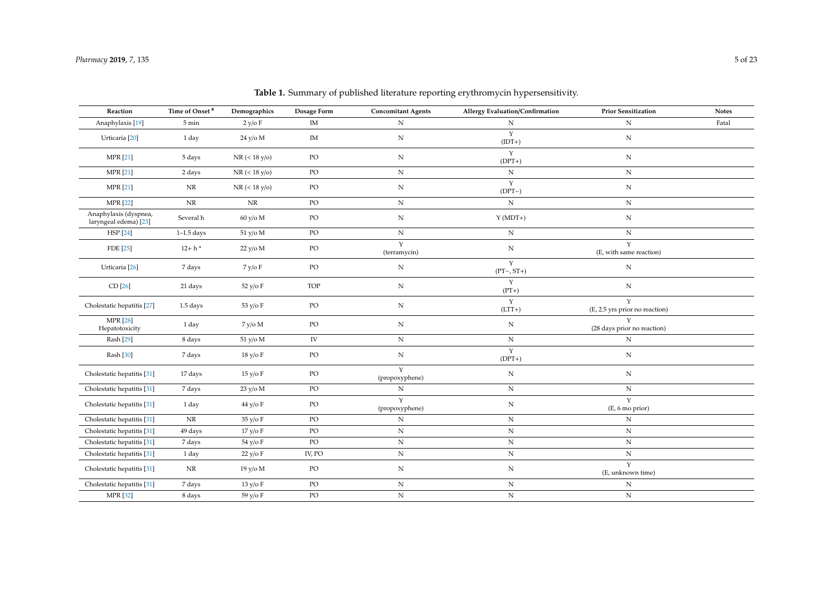| Reaction                                       | Time of Onset <sup>#</sup> | Demographics       | Dosage Form | <b>Concomitant Agents</b> | Allergy Evaluation/Confirmation | <b>Prior Sensitization</b>                  | <b>Notes</b> |
|------------------------------------------------|----------------------------|--------------------|-------------|---------------------------|---------------------------------|---------------------------------------------|--------------|
| Anaphylaxis [19]                               | 5 min                      | 2 y/o F            | IM          | $\mathbf N$               | $\mathbf N$                     | $\mathbf N$                                 | Fatal        |
| Urticaria <sup>[20]</sup>                      | 1 day                      | 24 y/o M           | $\rm IM$    | $\mathbf N$               | Y<br>$(IDT+)$                   | $\mathbf N$                                 |              |
| <b>MPR</b> [21]                                | 5 days                     | $NR (< 18$ y/o)    | PO          | N                         | Y<br>$(DPT+)$                   | $\mathbf N$                                 |              |
| <b>MPR</b> [21]                                | 2 days                     | NR (< 18 y/o)      | PO          | $_{\rm N}$                | $\mathbf N$                     | $\mathbf N$                                 |              |
| <b>MPR</b> [21]                                | NR                         | NR (< 18 y/o)      | PO          | ${\rm N}$                 | Y<br>$(DPT-)$                   | $\mathbf N$                                 |              |
| <b>MPR</b> [22]                                | $\rm{NR}$                  | $\rm{NR}$          | PO          | $\mathbf N$               | $\mathbf N$                     | $\mathbf N$                                 |              |
| Anaphylaxis (dyspnea,<br>laryngeal edema) [23] | Several h                  | 60 y/o M           | PO          | $\mathbf N$               | $Y(MDT+)$                       | $\mathbf N$                                 |              |
| <b>HSP</b> [24]                                | $1-1.5$ days               | 51 y/o M           | ${\rm PO}$  | $_{\rm N}$                | $\mathbf N$                     | $\mathbf N$                                 |              |
| FDE [25]                                       | $12 + h*$                  | 22 y/o M           | PO          | Y<br>(terramycin)         | N                               | Y<br>(E, with same reaction)                |              |
| Urticaria <sup>[26]</sup>                      | 7 days                     | 7 y/o F            | PO          | $\mathbf N$               | Y<br>$(PT-, ST+)$               | $\mathbf N$                                 |              |
| CD [26]                                        | 21 days                    | $52 \text{ y/o F}$ | TOP         | ${\rm N}$                 | Y<br>$(PT+)$                    | $\mathbf N$                                 |              |
| Cholestatic hepatitis [27]                     | 1.5 days                   | 53 y/o F           | PO          | $\mathbf N$               | Y<br>$(LTT+)$                   | Y<br>(E, 2.5 yrs prior no reaction)         |              |
| <b>MPR</b> [28]<br>Hepatotoxicity              | 1 day                      | 7 y/o M            | ${\rm PO}$  | ${\rm N}$                 | $\mathbf N$                     | $\mathsf{Y}$<br>(28 days prior no reaction) |              |
| Rash [29]                                      | 8 days                     | 51 y/o M           | ${\rm IV}$  | ${\bf N}$                 | ${\bf N}$                       | $\mathbf N$                                 |              |
| Rash [30]                                      | 7 days                     | $18 \text{ y/o F}$ | PO          | N                         | $\mathbf Y$<br>$(DPT+)$         | $\mathbf N$                                 |              |
| Cholestatic hepatitis [31]                     | 17 days                    | $15 \text{ y/o F}$ | PO          | Y<br>(propoxyphene)       | $\mathbf N$                     | N                                           |              |
| Cholestatic hepatitis [31]                     | 7 days                     | 23 y/o M           | PO          | $_{\rm N}$                | $\mathbf N$                     | $\mathbf N$                                 |              |
| Cholestatic hepatitis [31]                     | 1 day                      | $44$ y/o F         | PO          | Y<br>(propoxyphene)       | ${\bf N}$                       | Y<br>(E, 6 mo prior)                        |              |
| Cholestatic hepatitis [31]                     | NR                         | $35 \text{ y/o F}$ | PO          | $\mathbf N$               | ${\bf N}$                       | $\mathbf N$                                 |              |
| Cholestatic hepatitis [31]                     | 49 days                    | 17 y/o F           | PO          | $\mathbf N$               | ${\bf N}$                       | $\mathbf N$                                 |              |
| Cholestatic hepatitis [31]                     | 7 days                     | 54 y/o F           | PO          | ${\bf N}$                 | ${\bf N}$                       | $\mathbf N$                                 |              |
| Cholestatic hepatitis [31]                     | 1 day                      | 22 y/o F           | IV, PO      | ${\rm N}$                 | ${\bf N}$                       | $\mathbf N$                                 |              |
| Cholestatic hepatitis [31]                     | NR                         | 19 y/o M           | PO          | $\rm N$                   | N                               | Y<br>(E, unknown time)                      |              |
| Cholestatic hepatitis [31]                     | 7 days                     | 13 y/o F           | PO          | ${\bf N}$                 | ${\bf N}$                       | $\mathbf N$                                 |              |
| <b>MPR</b> [32]                                | 8 days                     | 59 y/o F           | ${\rm PO}$  | ${\bf N}$                 | ${\rm N}$                       | ${\bf N}$                                   |              |

**Table 1.** Summary of published literature reporting erythromycin hypersensitivity.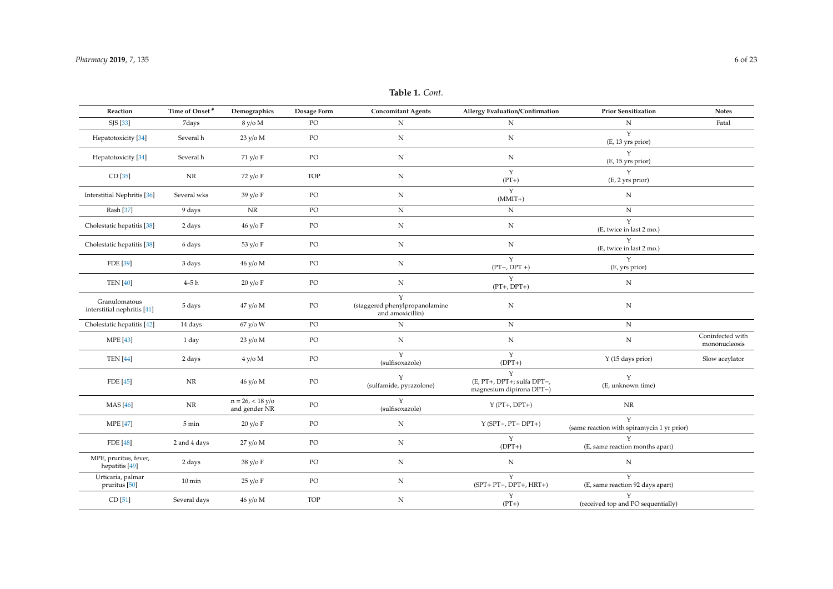| Reaction                                     | Time of Onset#   | Demographics                        | Dosage Form | <b>Concomitant Agents</b>                               | Allergy Evaluation/Confirmation                                        | <b>Prior Sensitization</b>                                 | <b>Notes</b>                      |
|----------------------------------------------|------------------|-------------------------------------|-------------|---------------------------------------------------------|------------------------------------------------------------------------|------------------------------------------------------------|-----------------------------------|
| SJS [33]                                     | 7days            | 8 y/o M                             | PO          | $_{\rm N}$                                              | $\mathbf N$                                                            | ${\bf N}$                                                  | Fatal                             |
| Hepatotoxicity [34]                          | Several h        | 23 y/o M                            | PO          | $\rm N$                                                 | ${\bf N}$                                                              | $\mathsf{Y}$<br>(E, 13 yrs prior)                          |                                   |
| Hepatotoxicity [34]                          | Several h        | 71 y/o F                            | ${\rm PO}$  | $\rm N$                                                 | ${\bf N}$                                                              | $\mathsf{v}$<br>(E, 15 yrs prior)                          |                                   |
| CD [35]                                      | NR               | 72 y/o F                            | TOP         | $\rm N$                                                 | Y<br>$(PT+)$                                                           | $\mathbf{Y}$<br>(E, 2 yrs prior)                           |                                   |
| Interstitial Nephritis [36]                  | Several wks      | $39 \text{ y/o F}$                  | PO          | N                                                       | Y<br>$(MMIT+)$                                                         | $\rm N$                                                    |                                   |
| Rash [37]                                    | 9 days           | NR                                  | PO          | $\mathbf N$                                             | $\mathbf N$                                                            | $\mathbf N$                                                |                                   |
| Cholestatic hepatitis [38]                   | 2 days           | 46 y/o F                            | PO          | $_{\rm N}$                                              | $_{\rm N}$                                                             | $\mathbf{Y}$<br>(E, twice in last 2 mo.)                   |                                   |
| Cholestatic hepatitis [38]                   | 6 days           | 53 y/o F                            | ${\rm PO}$  | N                                                       | $_{\rm N}$                                                             | (E, twice in last 2 mo.)                                   |                                   |
| FDE [39]                                     | 3 days           | $46$ y/o M                          | PO          | N                                                       | Y<br>$(PT-, DPT + )$                                                   | Y<br>(E, yrs prior)                                        |                                   |
| <b>TEN</b> [40]                              | $4-5h$           | 20 y/o F                            | PO          | $_{\rm N}$                                              | Y<br>$(PT+, DPT+)$                                                     | $\mathbf N$                                                |                                   |
| Granulomatous<br>interstitial nephritis [41] | 5 days           | $47$ y/o M                          | PO          | Y<br>(staggered phenylpropanolamine<br>and amoxicillin) | N                                                                      | N                                                          |                                   |
| Cholestatic hepatitis [42]                   | 14 days          | 67 y/o W                            | PO          | $_{\rm N}$                                              | $\mathbf N$                                                            | $\mathbf N$                                                |                                   |
| <b>MPE</b> [43]                              | 1 day            | 23 y/o M                            | PO          | N                                                       | $_{\rm N}$                                                             | $\mathbf N$                                                | Coninfected with<br>mononucleosis |
| <b>TEN</b> [44]                              | 2 days           | 4 y/o M                             | ${\rm PO}$  | Y<br>(sulfisoxazole)                                    | Y<br>$(DPT+)$                                                          | Y (15 days prior)                                          | Slow aceylator                    |
| FDE [45]                                     | NR               | 46 y/o M                            | PO          | Y<br>(sulfamide, pyrazolone)                            | $\mathbf{Y}$<br>(E, PT+, DPT+; sulfa DPT-,<br>magnesium dipirona DPT-) | (E, unknown time)                                          |                                   |
| MAS [46]                                     | NR               | $n = 26, < 18$ y/o<br>and gender NR | PO          | Y<br>(sulfisoxazole)                                    | $Y(PT+, DPT+)$                                                         | NR                                                         |                                   |
| <b>MPE</b> [47]                              | 5 min            | 20 y/o F                            | ${\rm PO}$  | $_{\rm N}$                                              | $Y(SPT-, PT-DPT+)$                                                     | $\mathbf{Y}$<br>(same reaction with spiramycin 1 yr prior) |                                   |
| <b>FDE</b> [48]                              | 2 and 4 days     | 27 y/o M                            | PO          | $_{\rm N}$                                              | Y<br>$(DPT+)$                                                          | $\mathsf{Y}$<br>(E, same reaction months apart)            |                                   |
| MPE, pruritus, fever,<br>hepatitis [49]      | 2 days           | 38 y/o F                            | PO          | ${\bf N}$                                               | ${\rm N}$                                                              | ${\bf N}$                                                  |                                   |
| Urticaria, palmar<br>pruritus [50]           | $10 \text{ min}$ | 25 y/o F                            | PO          | $_{\rm N}$                                              | Y<br>$(SPT + PT -$ , $DPT +$ , $HRT +$ )                               | Y<br>(E, same reaction 92 days apart)                      |                                   |
| CD[51]                                       | Several days     | 46 y/o M                            | TOP         | $_{\rm N}$                                              | Y<br>$(PT+)$                                                           | (received top and PO sequentially)                         |                                   |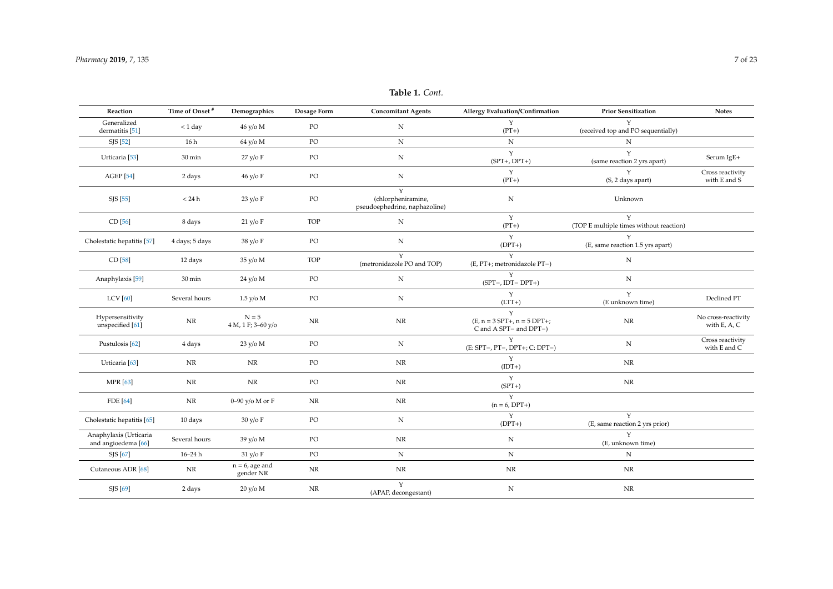| Reaction                                                 | Time of Onset <sup>#</sup> | Demographics                      | Dosage Form                     | <b>Concomitant Agents</b>                                | Allergy Evaluation/Confirmation                             | <b>Prior Sensitization</b>                     | <b>Notes</b>                           |
|----------------------------------------------------------|----------------------------|-----------------------------------|---------------------------------|----------------------------------------------------------|-------------------------------------------------------------|------------------------------------------------|----------------------------------------|
| Generalized<br>dermatitis [51]                           | $< 1$ day                  | $46$ y/o M                        | PO                              | N                                                        | Y<br>$(PT+)$                                                | Y<br>(received top and PO sequentially)        |                                        |
| SJS [52]                                                 | 16 h                       | $64$ y/o M                        | PO                              | $\mathbf N$                                              | $\mathbf N$                                                 | N                                              |                                        |
| Urticaria <sup>[53]</sup>                                | 30 min                     | 27 y/o F                          | PO                              | ${\bf N}$                                                | Y<br>$(SPT+, DPT+)$                                         | Y<br>(same reaction 2 yrs apart)               | Serum IgE+                             |
| <b>AGEP</b> [54]                                         | 2 days                     | $46$ y/o F                        | PO                              | N                                                        | Y<br>$(PT+)$                                                | $\mathsf{Y}$<br>(S, 2 days apart)              | Cross reactivity<br>with E and S       |
| SJS [55]                                                 | $< 24 \; \rm{h}$           | 23 y/o F                          | PO                              | Y<br>(chlorpheniramine,<br>pseudoephedrine, naphazoline) | ${\bf N}$                                                   | Unknown                                        |                                        |
| CD [56]                                                  | 8 days                     | 21 y/o F                          | TOP                             | $_{\rm N}$                                               | Y<br>$(PT+)$                                                | Y<br>(TOP E multiple times without reaction)   |                                        |
| Cholestatic hepatitis [57]                               | 4 days; 5 days             | 38 y/o F                          | PO                              | ${\bf N}$                                                | $\mathbf Y$<br>$(DPT+)$                                     | (E, same reaction 1.5 yrs apart)               |                                        |
| CD [58]                                                  | 12 days                    | $35 \text{ y/o}$ M                | TOP                             | $\mathsf{Y}$<br>(metronidazole PO and TOP)               | $\mathsf{Y}$<br>(E, PT+; metronidazole PT-)                 | N                                              |                                        |
| Anaphylaxis <sup>[59]</sup>                              | 30 min                     | 24 y/o M                          | PO                              | N                                                        | Y<br>$(SPT-, IDT-DPT+)$                                     | $\mathbf N$                                    |                                        |
| <b>LCV</b> [60]                                          | Several hours              | $1.5$ y/o M                       | PO                              | N                                                        | $\mathbf{Y}$<br>$(LTT+)$                                    | Y<br>(E unknown time)                          | Declined PT                            |
| Hypersensitivity<br>unspecified [61]                     | NR                         | $N = 5$<br>$4 M, 1 F; 3 - 60 V$ o | $\rm{NR}$                       | <b>NR</b>                                                | Y<br>$(E, n = 3 SPT+, n = 5 DPT+$<br>C and A SPT- and DPT-) | <b>NR</b>                                      | No cross-reactivity<br>with $E$ , A, C |
| Pustulosis [62]                                          | 4 days                     | 23 y/o M                          | PO                              | N                                                        | Y<br>(E: SPT-, PT-, DPT+; C: DPT-)                          | N                                              | Cross reactivity<br>with E and C       |
| Urticaria [63]                                           | <b>NR</b>                  | <b>NR</b>                         | PO                              | NR                                                       | Y<br>$(IDT+)$                                               | <b>NR</b>                                      |                                        |
| <b>MPR</b> [63]                                          | $\rm{NR}$                  | $\rm NR$                          | PO                              | $\rm NR$                                                 | Y<br>$(SPT+)$                                               | NR                                             |                                        |
| FDE [64]                                                 | NR                         | 0-90 y/o M or F                   | $\ensuremath{\text{NR}}\xspace$ | $\rm NR$                                                 | Y<br>$(n = 6, DPT+)$                                        |                                                |                                        |
| Cholestatic hepatitis [65]                               | 10 days                    | $30 \text{ y/o F}$                | PO                              | N                                                        | Y<br>$(DPT+)$                                               | $\mathbf{v}$<br>(E, same reaction 2 yrs prior) |                                        |
| Anaphylaxis (Urticaria<br>and angioedema <sup>[66]</sup> | Several hours              | 39 y/o M                          | PO                              | NR                                                       | $_{\rm N}$                                                  | Y<br>(E, unknown time)                         |                                        |
| SJS [67]                                                 | $16 - 24h$                 | 31 y/o F                          | PO                              | ${\bf N}$                                                | ${\rm N}$                                                   | $\mathbf N$                                    |                                        |
| Cutaneous ADR [68]                                       | $\rm NR$                   | $n = 6$ , age and<br>gender NR    | $\rm{NR}$                       | $\rm NR$                                                 | $\rm{NR}$                                                   | NR                                             |                                        |
| SJS [69]                                                 | 2 days                     | 20 y/o M                          | $\ensuremath{\text{NR}}\xspace$ | Y<br>(APAP, decongestant)                                | $\mathbf N$                                                 | <b>NR</b>                                      |                                        |

**Table 1.** *Cont.*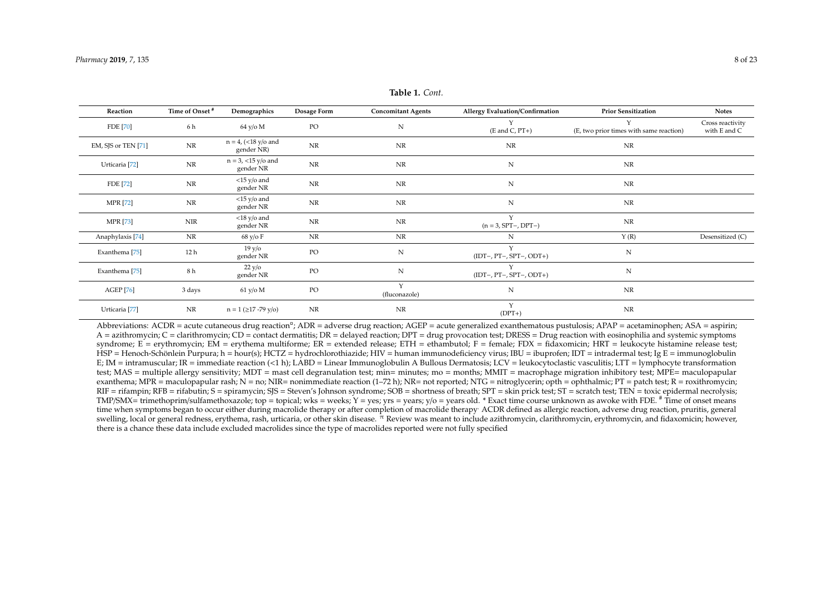| Reaction                    | Time of Onset# | Demographics                                     | Dosage Form | <b>Concomitant Agents</b> | Allergy Evaluation/Confirmation | <b>Prior Sensitization</b>              | <b>Notes</b>                     |
|-----------------------------|----------------|--------------------------------------------------|-------------|---------------------------|---------------------------------|-----------------------------------------|----------------------------------|
| FDE [70]                    | 6 h            | 64 y/o M                                         | PO          | N                         | $(E \text{ and } C, PT+)$       | (E, two prior times with same reaction) | Cross reactivity<br>with E and C |
| EM, SJS or TEN [71]         | $\rm{NR}$      | $n = 4$ , (<18 y/o and<br>gender NR)             | $\rm{NR}$   | NR                        | NR                              | <b>NR</b>                               |                                  |
| Urticaria <sup>[72]</sup>   | $\rm{NR}$      | $n = 3, \langle 15 \rangle$ v/o and<br>gender NR | $\rm NR$    | $\rm{NR}$                 | N                               | $\rm{NR}$                               |                                  |
| FDE [72]                    | $\rm{NR}$      | $<$ 15 y/o and<br>gender NR                      | $\rm{NR}$   | NR                        | N                               | <b>NR</b>                               |                                  |
| <b>MPR</b> [72]             | $\rm{NR}$      | $<$ 15 y/o and<br>gender NR                      | $\rm{NR}$   | NR                        | N                               | <b>NR</b>                               |                                  |
| <b>MPR</b> [73]             | <b>NIR</b>     | $<$ 18 y/o and<br>gender NR                      | $\rm NR$    | $\rm NR$                  | $(n = 3, SPT-, DPT-)$           | $\rm{NR}$                               |                                  |
| Anaphylaxis <sup>[74]</sup> | NR             | 68 y/o F                                         | NR          | NR                        | N                               | Y(R)                                    | Desensitized (C)                 |
| Exanthema <sup>[75]</sup>   | 12h            | $19 \text{ y/o}$<br>gender NR                    | PO          | ${\rm N}$                 | $IDT-, PT-, SPT-, ODT+)$        | $\mathbf N$                             |                                  |
| Exanthema <sup>[75]</sup>   | 8 h            | 22 y/o<br>gender NR                              | PO          | $_{\rm N}$                | $IDT-, PT-, SPT-, ODT+)$        | $\mathbf N$                             |                                  |
| <b>AGEP</b> [76]            | 3 days         | $61$ y/o M                                       | PO          | Y<br>(fluconazole)        | N                               | <b>NR</b>                               |                                  |
| Urticaria <sup>[77]</sup>   | NR             | $n = 1 (217 - 79 \text{ y/o})$                   | NR          | $\rm{NR}$                 | Y<br>$(DPT+)$                   | NR                                      |                                  |

**Table 1.** *Cont.*

<span id="page-7-0"></span>Abbreviations: ACDR = acute cutaneous drug reaction<sup>o</sup>; ADR = adverse drug reaction; AGEP = acute generalized exanthematous pustulosis; APAP = acetaminophen; ASA = aspirin; A = azithromycin; C = clarithromycin; CD = contact dermatitis; DR = delayed reaction; DPT = drug provocation test; DRESS = Drug reaction with eosinophilia and systemic symptoms syndrome; E = erythromycin; EM = erythema multiforme; ER = extended release; ETH = ethambutol; F = female; FDX = fidaxomicin; HRT = leukocyte histamine release test; HSP = Henoch-Schönlein Purpura; h = hour(s); HCTZ = hydrochlorothiazide; HIV = human immunodeficiency virus; IBU = ibuprofen; IDT = intradermal test; Ig E = immunoglobulin E; IM = intramuscular; IR = immediate reaction (<1 h); LABD = Linear Immunoglobulin A Bullous Dermatosis; LCV = leukocytoclastic vasculitis; LTT = lymphocyte transformation test; MAS = multiple allergy sensitivity; MDT = mast cell degranulation test; min= minutes; mo = months; MMIT = macrophage migration inhibitory test; MPE= maculopapular exanthema; MPR = maculopapular rash; N = no; NIR= nonimmediate reaction  $(1-72 h)$ ; NR= not reported; NTG = nitroglycerin; opth = ophthalmic; PT = patch test; R = roxithromycin; RIF = rifampin; RFB = rifabutin; S = spiramycin; SJS = Steven's Johnson syndrome; SOB = shortness of breath; SPT = skin prick test; ST = scratch test; TEN = toxic epidermal necrolysis; TMP/SMX= trimethoprim/sulfamethoxazole; top = topical; wks = weeks; Y = yes; yrs = years; y/o = years old. \* Exact time course unknown as awoke with FDE. # Time of onset means time when symptoms began to occur either during macrolide therapy or after completion of macrolide therapy. ACDR defined as allergic reaction, adverse drug reaction, pruritis, general swelling, local or general redness, erythema, rash, urticaria, or other skin disease. π Review was meant to include azithromycin, clarithromycin, erythromycin, and fidaxomicin; however, there is a chance these data include excluded macrolides since the type of macrolides reported were not fully specified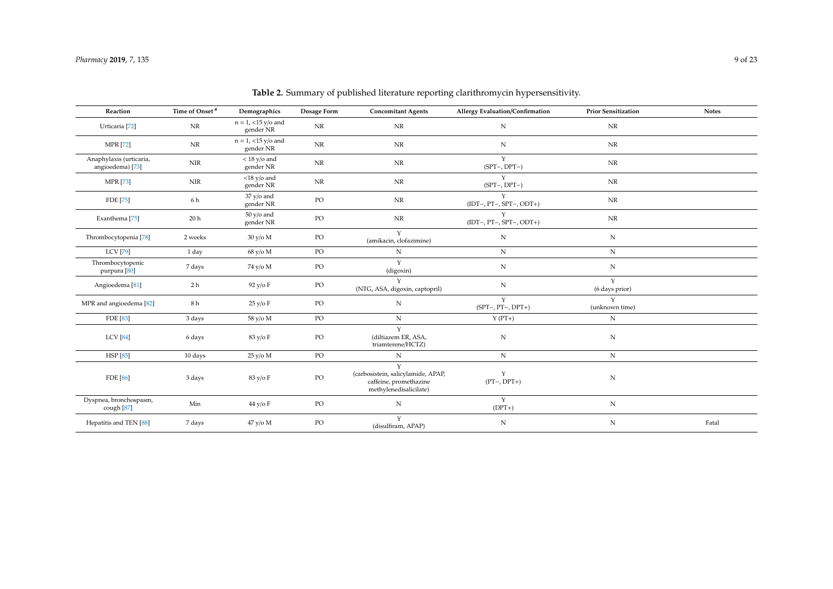| Reaction                                    | Time of Onset#                   | Demographics                               | Dosage Form | <b>Concomitant Agents</b>                                                                   | Allergy Evaluation/Confirmation | <b>Prior Sensitization</b> | <b>Notes</b> |
|---------------------------------------------|----------------------------------|--------------------------------------------|-------------|---------------------------------------------------------------------------------------------|---------------------------------|----------------------------|--------------|
| Urticaria <sup>[72]</sup>                   | $\rm{NR}$                        | $n = 1, \frac{15}{9}$ y/o and<br>gender NR | $\rm NR$    | NR                                                                                          | N                               | NR                         |              |
| <b>MPR</b> [72]                             | $\rm{NR}$                        | $n = 1, \frac{15}{9}$ y/o and<br>gender NR | $\rm NR$    | $\rm{NR}$                                                                                   | ${\rm N}$                       | NR                         |              |
| Anaphylaxis (urticaria,<br>angioedema) [73] | $\ensuremath{\text{NIR}}\xspace$ | $<$ 18 y/o and<br>gender NR                | $\rm NR$    | NR                                                                                          | Y<br>$(SPT-, DPT-)$             | NR                         |              |
| <b>MPR</b> [73]                             | $\ensuremath{\text{NIR}}\xspace$ | $<$ 18 y/o and<br>gender NR                | NR          | NR                                                                                          | Y<br>$(SPT-, DPT-)$             | NR                         |              |
| FDE [75]                                    | 6 h                              | $37$ y/o and<br>gender NR                  | PO          | NR                                                                                          | Y<br>$(IDT-, PT-, SPT-, ODT+)$  | NR                         |              |
| Exanthema <sup>[75]</sup>                   | 20h                              | $50$ y/o and<br>gender NR                  | PO          | NR                                                                                          | Y<br>$(IDT-, PT-, SPT-, ODT+)$  | $\rm{NR}$                  |              |
| Thrombocytopenia <sup>[78]</sup>            | 2 weeks                          | 30 y/o M                                   | PO          | $\mathsf{Y}$<br>(amikacin, clofazimine)                                                     | ${\bf N}$                       | N                          |              |
| <b>LCV</b> [79]                             | 1 day                            | 68 y/o M                                   | PO          | ${\bf N}$                                                                                   | $\mathbf N$                     | $\mathbf N$                |              |
| Thrombocytopenic<br>purpura [80]            | 7 days                           | 74 y/o M                                   | PO          | Y<br>(digoxin)                                                                              | ${\bf N}$                       | N                          |              |
| Angioedema <sup>[81]</sup>                  | 2 <sub>h</sub>                   | $92$ y/o F                                 | PO          | Y<br>(NTG, ASA, digoxin, captopril)                                                         | ${\bf N}$                       | Y<br>(6 days prior)        |              |
| MPR and angioedema <sup>[82]</sup>          | 8 h                              | 25 y/o F                                   | PO          | N                                                                                           | Y<br>$(SPT-, PT-, DPT+)$        | Y<br>(unknown time)        |              |
| <b>FDE</b> [83]                             | 3 days                           | 58 y/o M                                   | PO          | ${\bf N}$                                                                                   | $Y(PT+)$                        | $\mathbf N$                |              |
| <b>LCV</b> [84]                             | 6 days                           | 83 y/o F                                   | PO          | $\mathsf{Y}$<br>(diltiazem ER, ASA,<br>triamterene/HCTZ)                                    | ${\bf N}$                       | N                          |              |
| <b>HSP</b> [85]                             | 10 days                          | 25 y/o M                                   | PO          | ${\bf N}$                                                                                   | $\mathbf N$                     | N                          |              |
| <b>FDE</b> [86]                             | 3 days                           | 83 y/o F                                   | PO          | Y<br>(carbosistein, salicylamide, APAP,<br>caffeine, promethazine<br>methylenedisalicilate) | Y<br>$(PT-, DPT+)$              | N                          |              |
| Dyspnea, bronchospasm,<br>cough [87]        | Min                              | $44$ y/o F                                 | PO          | $\mathbf N$                                                                                 | $\mathbf{Y}$<br>$(DPT+)$        | N                          |              |
| Hepatitis and TEN [88]                      | 7 days                           | 47 y/o M                                   | PO          | Y<br>(disulfiram, APAP)                                                                     | N                               | $\mathbf N$                | Fatal        |

**Table 2.** Summary of published literature reporting clarithromycin hypersensitivity.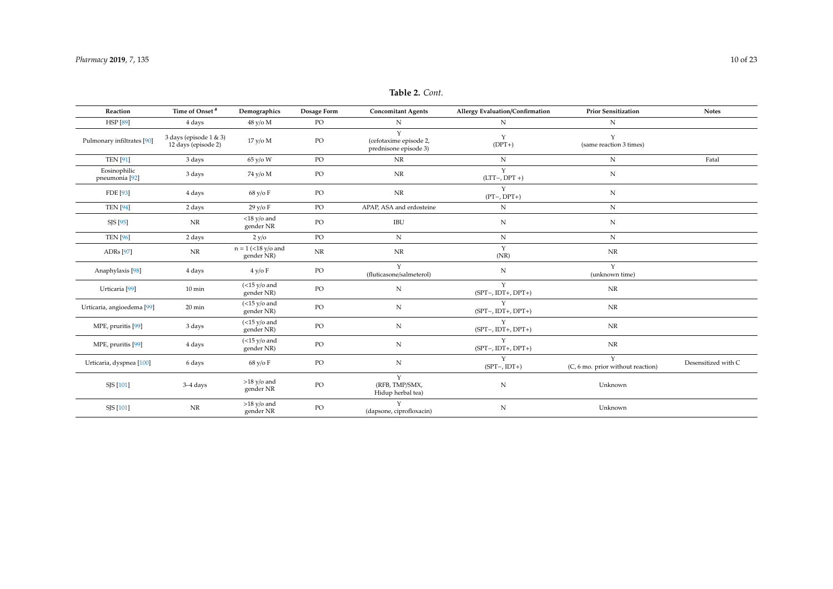| Reaction                       | Time of Onset#                                | Demographics                       | Dosage Form | <b>Concomitant Agents</b>                                       | Allergy Evaluation/Confirmation | <b>Prior Sensitization</b>                  | <b>Notes</b>        |
|--------------------------------|-----------------------------------------------|------------------------------------|-------------|-----------------------------------------------------------------|---------------------------------|---------------------------------------------|---------------------|
| <b>HSP</b> [89]                | 4 days                                        | 48 y/o M                           | PO          | N                                                               | N                               | N                                           |                     |
| Pulmonary infiltrates [90]     | 3 days (episode 1 & 3)<br>12 days (episode 2) | 17 y/o M                           | PO          | $\mathsf{Y}$<br>(cefotaxime episode 2,<br>prednisone episode 3) | Y<br>$(DPT+)$                   | (same reaction 3 times)                     |                     |
| <b>TEN</b> [91]                | 3 days                                        | 65 y/o W                           | PO          | NR                                                              | N                               | N                                           | Fatal               |
| Eosinophilic<br>pneumonia [92] | 3 days                                        | 74 y/o M                           | PO          | NR                                                              | Y<br>$(LTT-, DPT + )$           | N                                           |                     |
| FDE [93]                       | 4 days                                        | 68 y/o F                           | PO          | NR                                                              | Y<br>$(PT-, DPT+)$              | N                                           |                     |
| <b>TEN</b> [94]                | 2 days                                        | $29$ y/o F                         | PO          | APAP, ASA and erdosteine                                        | N                               | $\mathbf N$                                 |                     |
| SJS [95]                       | $\rm{NR}$                                     | $<$ 18 y/o and<br>gender NR        | PO          | $\rm IBU$                                                       | N                               | $_{\rm N}$                                  |                     |
| <b>TEN</b> [96]                | 2 days                                        | 2 y/o                              | PO          | N                                                               | N                               | N                                           |                     |
| ADRs [97]                      | $\rm{NR}$                                     | $n = 1$ (<18 y/o and<br>gender NR) | $\rm{NR}$   | NR                                                              | Y<br>(NR)                       | $\rm{NR}$                                   |                     |
| Anaphylaxis <sup>[98]</sup>    | 4 days                                        | 4 y/o F                            | PO          | Y<br>(fluticasone/salmeterol)                                   | N                               | Y<br>(unknown time)                         |                     |
| Urticaria <sup>[99]</sup>      | $10 \text{ min}$                              | $(<15 y/\sigma$ and<br>gender NR)  | PO          | $\mathbf N$                                                     | Y<br>$(SPT-, IDT+, DPT+)$       | $\rm{NR}$                                   |                     |
| Urticaria, angioedema [99]     | $20 \text{ min}$                              | $(<15 y/\sigma$ and<br>gender NR)  | PO          | $\mathbf N$                                                     | Y<br>$(SPT-, IDT+, DPT+)$       | $\rm{NR}$                                   |                     |
| MPE, pruritis [99]             | 3 days                                        | $(<15 y/\sigma$ and<br>gender NR)  | PO          | $\mathbf N$                                                     | Y<br>$(SPT-, IDT+, DPT+)$       | $\rm{NR}$                                   |                     |
| MPE, pruritis [99]             | 4 days                                        | $(<15$ y/o and<br>gender NR)       | PO          | ${\rm N}$                                                       | Y<br>$(SPT-, IDT+, DPT+)$       | $\rm{NR}$                                   |                     |
| Urticaria, dyspnea [100]       | 6 days                                        | 68 y/o F                           | PO          | $\mathbf N$                                                     | $\vee$<br>$(SPT-, IDT+)$        | $\vee$<br>(C, 6 mo. prior without reaction) | Desensitized with C |
| SJS [101]                      | 3-4 days                                      | $>18$ y/o and<br>gender NR         | PO          | $\mathbf{Y}$<br>(RFB, TMP/SMX,<br>Hidup herbal tea)             | ${\bf N}$                       | Unknown                                     |                     |
| SJS [101]                      | NR                                            | $>18$ y/o and<br>gender NR         | PO          | (dapsone, ciprofloxacin)                                        | ${\bf N}$                       | Unknown                                     |                     |

## **Table 2.** *Cont.*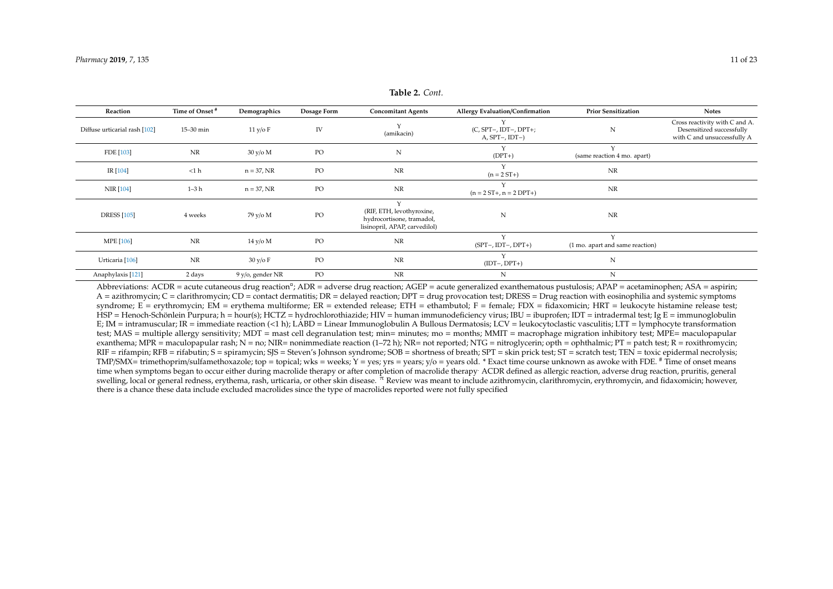| Reaction                      | Time of Onset# | Demographics       | Dosage Form | <b>Concomitant Agents</b>                                                                    | <b>Allergy Evaluation/Confirmation</b>               | <b>Prior Sensitization</b>                   | <b>Notes</b>                                                                               |
|-------------------------------|----------------|--------------------|-------------|----------------------------------------------------------------------------------------------|------------------------------------------------------|----------------------------------------------|--------------------------------------------------------------------------------------------|
| Diffuse urticarial rash [102] | 15-30 min      | $11 \text{ y/o F}$ | IV          | (amikacin)                                                                                   | $(C, SPT-, IDT-, DPT+;$<br>$A$ , SPT $-$ , IDT $-$ ) | N                                            | Cross reactivity with C and A.<br>Desensitized successfully<br>with C and unsuccessfully A |
| FDE [103]                     | <b>NR</b>      | 30 y/o M           | PO          | ${\bf N}$                                                                                    | $(DPT+)$                                             | (same reaction 4 mo. apart)                  |                                                                                            |
| IR [104]                      | <1 h           | $n = 37, NR$       | PO          | <b>NR</b>                                                                                    | $\sqrt{}$<br>$(n = 2 ST+)$                           | <b>NR</b>                                    |                                                                                            |
| NIR [104]                     | $1-3h$         | $n = 37$ , NR      | PO          | NR                                                                                           | $\sqrt{}$<br>$(n = 2 ST +, n = 2 DPT +)$             | <b>NR</b>                                    |                                                                                            |
| <b>DRESS</b> [105]            | 4 weeks        | 79 y/o M           | PO          | Y<br>(RIF, ETH, levothyroxine,<br>hydrocortisone, tramadol,<br>lisinopril, APAP, carvedilol) | N                                                    | NR                                           |                                                                                            |
| <b>MPE</b> [106]              | NR             | $14 \text{ y/o}$ M | PO          | <b>NR</b>                                                                                    | $\vee$<br>$(SPT-, IDT-, DPT+)$                       | $\lambda$<br>(1 mo. apart and same reaction) |                                                                                            |
| Urticaria [106]               | NR             | $30 \text{ y/o F}$ | PO          | NR                                                                                           | $\sqrt{}$<br>$(IDT-, DPT+)$                          | N                                            |                                                                                            |
| Anaphylaxis [121]             | 2 days         | 9 y/o, gender NR   | PO          | <b>NR</b>                                                                                    | N                                                    | N                                            |                                                                                            |

**Table 2.** *Cont.*

Abbreviations: ACDR = acute cutaneous drug reaction<sup>o</sup>; ADR = adverse drug reaction; AGEP = acute generalized exanthematous pustulosis; APAP = acetaminophen; ASA = aspirin; A = azithromycin; C = clarithromycin; CD = contact dermatitis; DR = delayed reaction; DPT = drug provocation test; DRESS = Drug reaction with eosinophilia and systemic symptoms syndrome; E = erythromycin; EM = erythema multiforme; ER = extended release; ETH = ethambutol; F = female; FDX = fidaxomicin; HRT = leukocyte histamine release test; HSP = Henoch-Schönlein Purpura; h = hour(s); HCTZ = hydrochlorothiazide; HIV = human immunodeficiency virus; IBU = ibuprofen; IDT = intradermal test; Ig E = immunoglobulin  $E$ ; IM = intramuscular; IR = immediate reaction (<1 h); LABD = Linear Immunoglobulin A Bullous Dermatosis; LCV = leukocytoclastic vasculitis; LTT = lymphocyte transformation test; MAS = multiple allergy sensitivity; MDT = mast cell degranulation test; min= minutes; mo = months; MMIT = macrophage migration inhibitory test; MPE= maculopapular exanthema; MPR = maculopapular rash; N = no; NIR= nonimmediate reaction  $(1-72 h)$ ; NR= not reported; NTG = nitroglycerin; opth = ophthalmic; PT = patch test; R = roxithromycin; RIF = rifampin; RFB = rifabutin; S = spiramycin; SJS = Steven's Johnson syndrome; SOB = shortness of breath; SPT = skin prick test; ST = scratch test; TEN = toxic epidermal necrolysis; TMP/SMX= trimethoprim/sulfamethoxazole; top = topical; wks = weeks; Y = yes; yrs = years; y/o = years old. \* Exact time course unknown as awoke with FDE. # Time of onset means time when symptoms began to occur either during macrolide therapy or after completion of macrolide therapy<sup>.</sup> ACDR defined as allergic reaction, adverse drug reaction, pruritis, general swelling, local or general redness, erythema, rash, urticaria, or other skin disease.  $\pi$  Review was meant to include azithromycin, clarithromycin, erythromycin, and fidaxomicin; however, there is a chance these data include excluded macrolides since the type of macrolides reported were not fully specified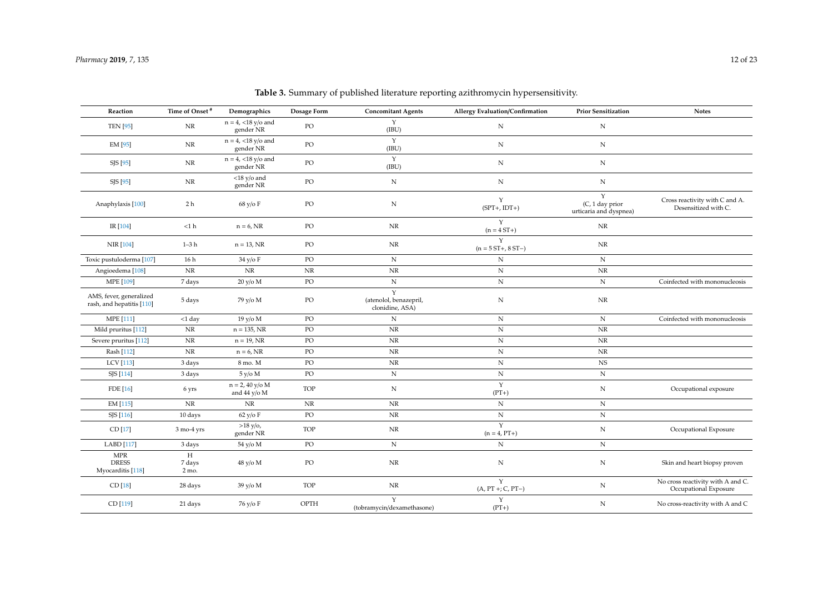| Reaction                                                       | Time of Onset#                  | Demographics                        | Dosage Form | <b>Concomitant Agents</b>                      | Allergy Evaluation/Confirmation                                     | <b>Prior Sensitization</b>                       | <b>Notes</b>                                               |
|----------------------------------------------------------------|---------------------------------|-------------------------------------|-------------|------------------------------------------------|---------------------------------------------------------------------|--------------------------------------------------|------------------------------------------------------------|
| <b>TEN</b> [95]                                                | $\ensuremath{\text{NR}}\xspace$ | $n = 4$ , <18 y/o and<br>gender NR  | PO          | Y<br>(IBU)                                     | $\mathbf N$                                                         | $\mathbf N$                                      |                                                            |
| EM [95]                                                        | $\rm{NR}$                       | $n = 4$ , <18 y/o and<br>gender NR  | PO          | Y<br>(IBU)                                     | $\mathbf N$                                                         | $\mathbf N$                                      |                                                            |
| SJS [95]                                                       | $\rm{NR}$                       | $n = 4$ , <18 y/o and<br>gender NR  | PO          | $\mathbf Y$<br>(IBU)                           | ${\rm N}$                                                           | $_{\rm N}$                                       |                                                            |
| SJS [95]                                                       | $\ensuremath{\text{NR}}\xspace$ | $<$ 18 y/o and<br>gender NR         | PO          | ${\bf N}$                                      | ${\bf N}$                                                           | N                                                |                                                            |
| Anaphylaxis [100]                                              | 2 h                             | 68 y/o F                            | PO          | $_{\rm N}$                                     | Y<br>$(SPT+, IDT+)$                                                 | Y<br>$(C, 1$ day prior<br>urticaria and dyspnea) | Cross reactivity with C and A.<br>Desensitized with C.     |
| IR [104]                                                       | $<$ 1 $h$                       | $n = 6$ , NR                        | PO          | $\rm{NR}$                                      | Y<br>$(n = 4 ST+)$                                                  | NR                                               |                                                            |
| <b>NIR</b> [104]                                               | 1–3 h                           | $n = 13$ , NR                       | PO          | NR                                             | Y<br>$(n = 5 ST + 8 ST - )$                                         | NR                                               |                                                            |
| Toxic pustuloderma [107]                                       | 16 h                            | $34$ y/o $\rm F$                    | PO          | ${\bf N}$                                      | ${\rm N}$                                                           | ${\bf N}$                                        |                                                            |
| Angioedema <sup>[108]</sup>                                    | $\rm{NR}$                       | $\rm{NR}$                           | <b>NR</b>   | $\rm{NR}$                                      | $\mathbf N$                                                         | $\rm{NR}$                                        |                                                            |
| <b>MPE</b> [109]                                               | 7 days                          | 20 y/o M                            | PO          | ${\bf N}$                                      | ${\rm N}$                                                           | $\mathbf N$                                      | Coinfected with mononucleosis                              |
| AMS, fever, generalized<br>rash, and hepatitis [110]           | 5 days                          | 79 y/o M                            | PO          | Y<br>(atenolol, benazepril,<br>clonidine, ASA) | ${\rm N}$                                                           | $\rm{NR}$                                        |                                                            |
| <b>MPE</b> [111]                                               | $<$ 1 day                       | 19 y/o M                            | PO          | $_{\rm N}$                                     | $_{\rm N}$                                                          | N                                                | Coinfected with mononucleosis                              |
| Mild pruritus [112]                                            | $\rm{NR}$                       | $n = 135$ , NR                      | PO          | NR                                             | $\mathbf N$                                                         | $\rm{NR}$                                        |                                                            |
| Severe pruritus [112]                                          | $\ensuremath{\text{NR}}\xspace$ | $n = 19$ , NR                       | PO          | NR                                             | $\mathbf N$                                                         | $\rm{NR}$                                        |                                                            |
| Rash [112]                                                     | $\rm{NR}$                       | $n = 6$ , NR                        | PO          | $\rm{NR}$                                      | ${\rm N}$                                                           | $\rm{NR}$                                        |                                                            |
| LCV [113]                                                      | 3 days                          | 8 mo. M                             | PO          | $\rm{NR}$                                      | $\mathbf N$                                                         | $_{\rm NS}$                                      |                                                            |
| SJS [114]                                                      | 3 days                          | 5 y/o M                             | PO          | $\mathbf N$                                    | ${\rm N}$                                                           | $\mathbf N$                                      |                                                            |
| FDE [16]                                                       | 6 yrs                           | $n = 2, 40$ y/o M<br>and $44$ y/o M | TOP         | ${\rm N}$                                      | Y<br>$(PT+)$                                                        | N                                                | Occupational exposure                                      |
| EM [115]                                                       | $\rm{NR}$                       | <b>NR</b>                           | <b>NR</b>   | $\rm{NR}$                                      | $\mathbf N$                                                         | N                                                |                                                            |
| SJS [116]                                                      | 10 days                         | $62$ y/o F                          | PO          | NR                                             | ${\bf N}$                                                           | $\mathbf N$                                      |                                                            |
| CD [17]                                                        | 3 mo-4 yrs                      | $>18$ y/o,<br>gender NR             | TOP         | NR                                             | Y<br>$(n = 4, PT+)$                                                 | $\mathbf N$                                      | Occupational Exposure                                      |
| LABD [117]                                                     | 3 days                          | 54 y/o M                            | PO          | $\mathbf N$                                    | $\mathbf N$                                                         | $_{\rm N}$                                       |                                                            |
| $\ensuremath{\text{MPR}}$<br><b>DRESS</b><br>Myocarditis [118] | H<br>7 days<br>2 mo.            | 48 y/o M                            | PO          | NR                                             | ${\rm N}$                                                           | N                                                | Skin and heart biopsy proven                               |
| CD [18]                                                        | 28 days                         | 39 y/o M                            | TOP         | NR                                             | $\mathbf{Y}$<br>$(\mathbf{A},\mathbf{PT}+;\mathbf{C},\mathbf{PT}-)$ | N                                                | No cross reactivity with A and C.<br>Occupational Exposure |
| CD [119]                                                       | 21 days                         | 76 y/o F                            | OPTH        | Y<br>(tobramycin/dexamethasone)                | $\mathbf Y$<br>$(PT+)$                                              | N                                                | No cross-reactivity with A and C                           |

**Table 3.** Summary of published literature reporting azithromycin hypersensitivity.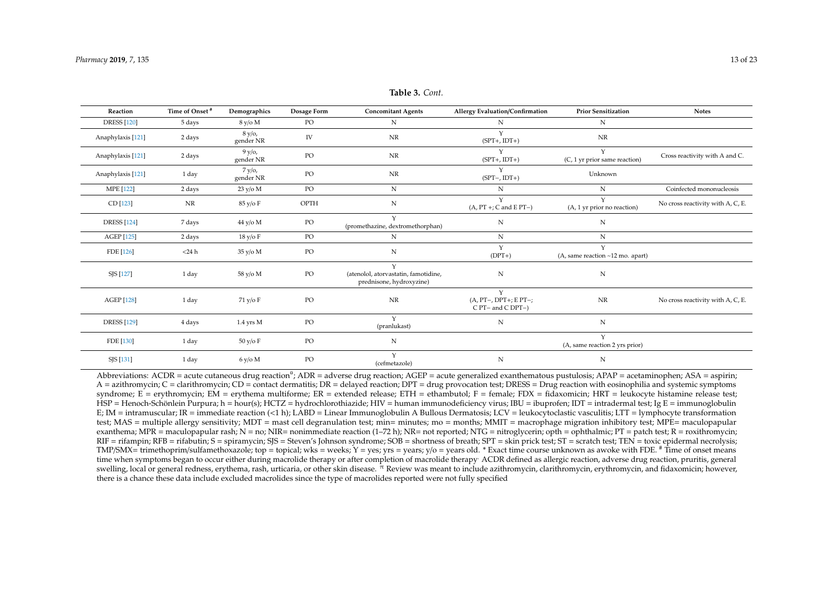| Reaction           | Time of Onset# | Demographics                 | Dosage Form | <b>Concomitant Agents</b>                                             | Allergy Evaluation/Confirmation             | <b>Prior Sensitization</b>                       | <b>Notes</b>                      |
|--------------------|----------------|------------------------------|-------------|-----------------------------------------------------------------------|---------------------------------------------|--------------------------------------------------|-----------------------------------|
| <b>DRESS</b> [120] | 5 days         | 8 y/o M                      | PO          | N                                                                     | N                                           | N                                                |                                   |
| Anaphylaxis [121]  | 2 days         | $8 \text{ y/o}$<br>gender NR | IV          | NR                                                                    | Y<br>$(SPT+, IDT+)$                         | $\ensuremath{\text{NR}}\xspace$                  |                                   |
| Anaphylaxis [121]  | 2 days         | 9 y/o,<br>gender NR          | PO          | NR                                                                    | Y<br>$(SPT+, IDT+)$                         | Y<br>(C, 1 yr prior same reaction)               | Cross reactivity with A and C.    |
| Anaphylaxis [121]  | 1 day          | 7 y/o,<br>gender NR          | PO          | $\rm{NR}$                                                             | Y<br>$(SPT-, IDT+)$                         | Unknown                                          |                                   |
| <b>MPE</b> [122]   | 2 days         | 23 y/o M                     | PO          | ${\rm N}$                                                             | N                                           | $\mathbf N$                                      | Coinfected mononucleosis          |
| CD [123]           | NR             | 85 y/o F                     | OPTH        | ${\bf N}$                                                             | $\mathsf{Y}$<br>$(A, PT +; C and EPT-)$     | $\mathsf{Y}$<br>(A, 1 yr prior no reaction)      | No cross reactivity with A, C, E. |
| <b>DRESS</b> [124] | 7 days         | $44$ y/o M                   | PO          | Y<br>(promethazine, dextromethorphan)                                 | N                                           | N                                                |                                   |
| <b>AGEP</b> [125]  | 2 days         | $18 \text{ y/o F}$           | PO          | N                                                                     | $\mathbf N$                                 | ${\rm N}$                                        |                                   |
| FDE [126]          | $<$ 24 $h$     | 35 y/o M                     | PO          | ${\bf N}$                                                             | $\mathsf{Y}$<br>$(DPT+)$                    | $\mathsf{Y}$<br>(A, same reaction ~12 mo. apart) |                                   |
| SJS [127]          | 1 day          | 58 y/o M                     | PO          | Y<br>(atenolol, atorvastatin, famotidine,<br>prednisone, hydroxyzine) | $\mathbf N$                                 | $\mathbf N$                                      |                                   |
| <b>AGEP</b> [128]  | 1 day          | 71 y/o F                     | PO          | NR                                                                    | $(A, PT-, DPT+: EPT-;$<br>C PT- and C DPT-) | $\rm NR$                                         | No cross reactivity with A, C, E. |
| <b>DRESS</b> [129] | 4 days         | $1.4$ yrs M                  | PO          | $\mathsf{Y}$<br>(pranlukast)                                          | N                                           | ${\bf N}$                                        |                                   |
| FDE [130]          | 1 day          | 50 y/o F                     | PO          | ${\rm N}$                                                             |                                             | $\mathsf{Y}$<br>(A, same reaction 2 yrs prior)   |                                   |
| SJS [131]          | 1 day          | $6 \text{ y/o}$ M            | PO          | Y<br>(cefmetazole)                                                    | $\mathbf N$                                 | N                                                |                                   |

**Table 3.** *Cont.*

Abbreviations: ACDR = acute cutaneous drug reaction<sup>o</sup>; ADR = adverse drug reaction; AGEP = acute generalized exanthematous pustulosis; APAP = acetaminophen; ASA = aspirin; A = azithromycin; C = clarithromycin; CD = contact dermatitis; DR = delayed reaction; DPT = drug provocation test; DRESS = Drug reaction with eosinophilia and systemic symptoms syndrome; E = erythromycin; EM = erythema multiforme; ER = extended release; ETH = ethambutol; F = female; FDX = fidaxomicin; HRT = leukocyte histamine release test; HSP = Henoch-Schönlein Purpura; h = hour(s); HCTZ = hydrochlorothiazide; HIV = human immunodeficiency virus; IBU = ibuprofen; IDT = intradermal test; Ig E = immunoglobulin  $E$ ; IM = intramuscular; IR = immediate reaction  $\langle$ <1 h); LABD = Linear Immunoglobulin A Bullous Dermatosis; LCV = leukocytoclastic vasculitis; LTT = lymphocyte transformation test; MAS = multiple allergy sensitivity; MDT = mast cell degranulation test; min= minutes; mo = months; MMIT = macrophage migration inhibitory test; MPE= maculopapular exanthema; MPR = maculopapular rash; N = no; NIR= nonimmediate reaction  $(1-72 h)$ ; NR= not reported; NTG = nitroglycerin; opth = ophthalmic; PT = patch test; R = roxithromycin; RIF = rifampin; RFB = rifabutin; S = spiramycin; SJS = Steven's Johnson syndrome; SOB = shortness of breath; SPT = skin prick test; ST = scratch test; TEN = toxic epidermal necrolysis;  $TMP/SMX =$  trimethoprim/sulfamethoxazole; top = topical; wks = weeks;  $Y =$  yes; yrs = years; y/o = years old. \* Exact time course unknown as awoke with FDE. # Time of onset means time when symptoms began to occur either during macrolide therapy or after completion of macrolide therapy. ACDR defined as allergic reaction, adverse drug reaction, pruritis, general swelling, local or general redness, erythema, rash, urticaria, or other skin disease. π Review was meant to include azithromycin, clarithromycin, erythromycin, and fidaxomicin; however, there is a chance these data include excluded macrolides since the type of macrolides reported were not fully specified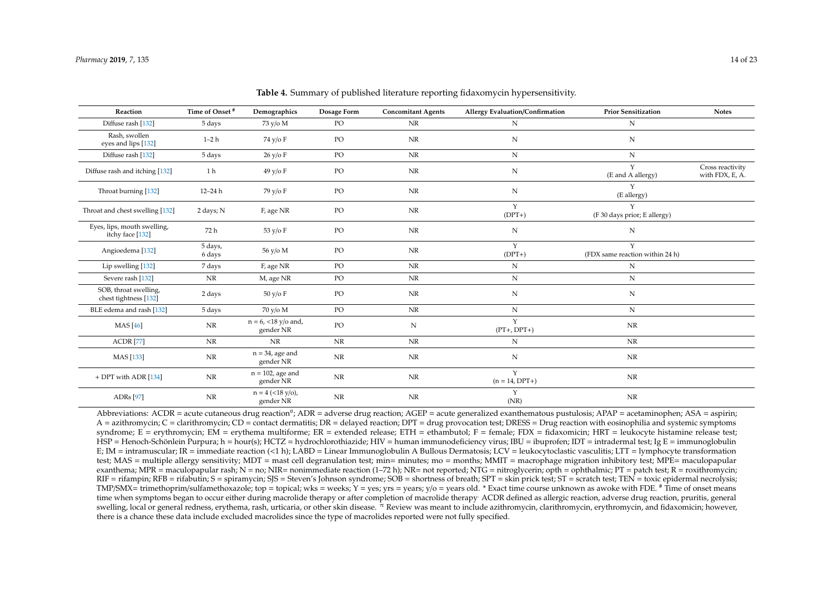| Reaction                                        | Time of Onset#    | Demographics                                       | Dosage Form | <b>Concomitant Agents</b> | <b>Allergy Evaluation/Confirmation</b>         | <b>Prior Sensitization</b>                      | <b>Notes</b>                        |
|-------------------------------------------------|-------------------|----------------------------------------------------|-------------|---------------------------|------------------------------------------------|-------------------------------------------------|-------------------------------------|
| Diffuse rash [132]                              | 5 days            | 73 y/o M                                           | PO          | NR                        | N                                              | N                                               |                                     |
| Rash, swollen<br>eyes and lips [132]            | $1-2h$            | 74 y/o F                                           | PO          | NR                        | ${\rm N}$                                      | N                                               |                                     |
| Diffuse rash [132]                              | 5 days            | $26 \text{ y/o F}$                                 | PO          | NR                        | $\mathbf N$                                    | N                                               |                                     |
| Diffuse rash and itching [132]                  | 1 h               | $49$ y/o F                                         | PO          | NR                        | $\mathbf N$                                    | Y<br>(E and A allergy)                          | Cross reactivity<br>with FDX, E, A. |
| Throat burning [132]                            | 12-24 h           | 79 y/o F                                           | PO          | NR                        | $\mathbf N$                                    | (E allergy)                                     |                                     |
| Throat and chest swelling [132]                 | 2 days; N         | F, age NR                                          | PO          | $\rm{NR}$                 | $\mathsf{Y}$<br>$(DPT+)$                       | $\mathsf{Y}$<br>(F 30 days prior; E allergy)    |                                     |
| Eyes, lips, mouth swelling,<br>itchy face [132] | 72 h              | $53 \text{ y/o F}$                                 | PO          | NR                        | $\mathbf N$                                    | N                                               |                                     |
| Angioedema <sup>[132]</sup>                     | 5 days,<br>6 days | 56 y/o M                                           | PO          | $\rm{NR}$                 | Y<br>$(DPT+)$                                  | $\mathsf{Y}$<br>(FDX same reaction within 24 h) |                                     |
| Lip swelling [132]                              | 7 days            | F, age NR                                          | PO          | NR                        | $\mathbf N$                                    | N                                               |                                     |
| Severe rash [132]                               | NR                | M, age NR                                          | PO          | <b>NR</b>                 | $\mathbf N$                                    | N                                               |                                     |
| SOB, throat swelling,<br>chest tightness [132]  | 2 days            | $50 y/\mathrm{o} F$                                | PO          | NR                        | $\mathbf N$                                    | N                                               |                                     |
| BLE edema and rash [132]                        | 5 days            | 70 y/o M                                           | PO          | NR                        | $\mathbf N$                                    | N                                               |                                     |
| <b>MAS</b> [46]                                 | NR                | $n = 6$ , <18 y/o and,<br>gender NR                | PO          | N                         | $\mathbf{Y}$<br>$(\mathrm{PT+},\mathrm{DPT+})$ | NR                                              |                                     |
| <b>ACDR</b> [77]                                | NR                | NR                                                 | NR          | NR                        | $_{\rm N}$                                     | NR                                              |                                     |
| MAS [133]                                       | NR                | $n = 34$ , age and<br>gender NR                    | NR          | NR                        | N                                              | NR                                              |                                     |
| $+$ DPT with ADR $[134]$                        | $\rm{NR}$         | $n = 102$ , age and<br>gender NR                   | NR          | NR                        | Y<br>$(n = 14, DPT+)$                          | $\rm NR$                                        |                                     |
| ADRs [97]                                       | NR                | $n = 4 \left( \frac{18}{9} \right)$ ,<br>gender NR | <b>NR</b>   | NR                        | Y<br>(NR)                                      | NR                                              |                                     |

**Table 4.** Summary of published literature reporting fidaxomycin hypersensitivity.

<span id="page-13-0"></span>Abbreviations: ACDR = acute cutaneous drug reaction<sup>o</sup>; ADR = adverse drug reaction; AGEP = acute generalized exanthematous pustulosis; APAP = acetaminophen; ASA = aspirin; A = azithromycin; C = clarithromycin; CD = contact dermatitis; DR = delayed reaction; DPT = drug provocation test; DRESS = Drug reaction with eosinophilia and systemic symptoms syndrome; E = erythromycin; EM = erythema multiforme; ER = extended release; ETH = ethambutol; F = female; FDX = fidaxomicin; HRT = leukocyte histamine release test; HSP = Henoch-Schönlein Purpura; h = hour(s); HCTZ = hydrochlorothiazide; HIV = human immunodeficiency virus; IBU = ibuprofen; IDT = intradermal test; Ig E = immunoglobulin  $E$ ; IM = intramuscular; IR = immediate reaction  $\langle$ <1 h); LABD = Linear Immunoglobulin A Bullous Dermatosis; LCV = leukocytoclastic vasculitis; LTT = lymphocyte transformation test; MAS = multiple allergy sensitivity; MDT = mast cell degranulation test; min= minutes; mo = months; MMIT = macrophage migration inhibitory test; MPE= maculopapular exanthema; MPR = maculopapular rash; N = no; NIR= nonimmediate reaction  $(1-72 h)$ ; NR= not reported; NTG = nitroglycerin; opth = ophthalmic; PT = patch test; R = roxithromycin; RIF = rifampin; RFB = rifabutin; S = spiramycin; SJS = Steven's Johnson syndrome; SOB = shortness of breath; SPT = skin prick test; ST = scratch test; TEN = toxic epidermal necrolysis;  $TMP/SMX =$  trimethoprim/sulfamethoxazole; top = topical; wks = weeks;  $Y =$  yes; yrs = years; y/o = years old. \* Exact time course unknown as awoke with FDE. # Time of onset means time when symptoms began to occur either during macrolide therapy or after completion of macrolide therapy. ACDR defined as allergic reaction, adverse drug reaction, pruritis, general swelling, local or general redness, erythema, rash, urticaria, or other skin disease.  $\pi$  Review was meant to include azithromycin, clarithromycin, erythromycin, and fidaxomicin; however, there is a chance these data include excluded macrolides since the type of macrolides reported were not fully specified.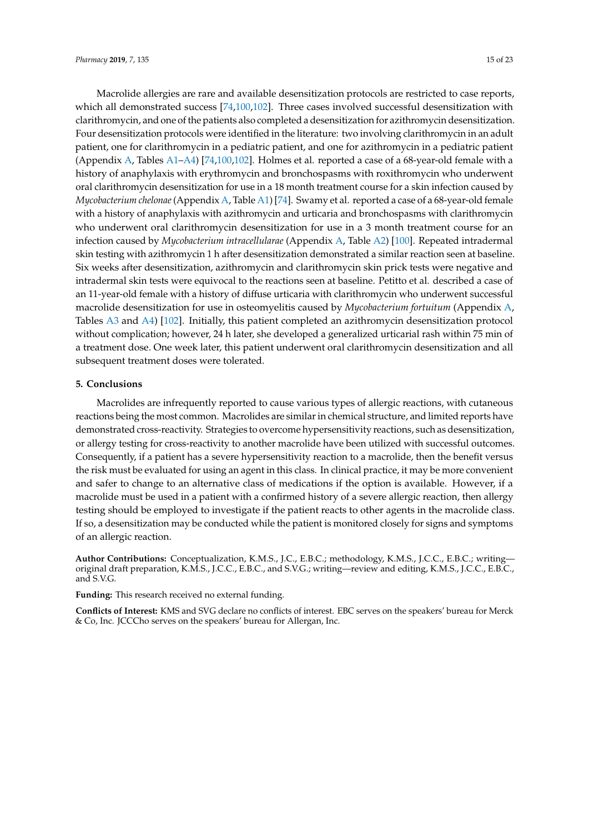Macrolide allergies are rare and available desensitization protocols are restricted to case reports, which all demonstrated success [\[74](#page-19-8)[,100,](#page-20-6)[102\]](#page-20-10). Three cases involved successful desensitization with clarithromycin, and one of the patients also completed a desensitization for azithromycin desensitization. Four desensitization protocols were identified in the literature: two involving clarithromycin in an adult patient, one for clarithromycin in a pediatric patient, and one for azithromycin in a pediatric patient (Appendix [A,](#page-15-0) Tables [A1](#page-15-1)[–A4\)](#page-16-7) [\[74](#page-19-8)[,100](#page-20-6)[,102\]](#page-20-10). Holmes et al. reported a case of a 68-year-old female with a history of anaphylaxis with erythromycin and bronchospasms with roxithromycin who underwent oral clarithromycin desensitization for use in a 18 month treatment course for a skin infection caused by *Mycobacterium chelonae*(Appendix [A,](#page-15-0) Table [A1\)](#page-15-1) [\[74\]](#page-19-8). Swamy et al. reported a case of a 68-year-old female with a history of anaphylaxis with azithromycin and urticaria and bronchospasms with clarithromycin who underwent oral clarithromycin desensitization for use in a 3 month treatment course for an infection caused by *Mycobacterium intracellularae* (Appendix [A,](#page-15-0) Table [A2\)](#page-15-2) [\[100\]](#page-20-6). Repeated intradermal skin testing with azithromycin 1 h after desensitization demonstrated a similar reaction seen at baseline. Six weeks after desensitization, azithromycin and clarithromycin skin prick tests were negative and intradermal skin tests were equivocal to the reactions seen at baseline. Petitto et al. described a case of an 11-year-old female with a history of diffuse urticaria with clarithromycin who underwent successful macrolide desensitization for use in osteomyelitis caused by *Mycobacterium fortuitum* (Appendix [A,](#page-15-0) Tables [A3](#page-16-8) and [A4\)](#page-16-7) [\[102\]](#page-20-10). Initially, this patient completed an azithromycin desensitization protocol without complication; however, 24 h later, she developed a generalized urticarial rash within 75 min of a treatment dose. One week later, this patient underwent oral clarithromycin desensitization and all subsequent treatment doses were tolerated.

#### **5. Conclusions**

Macrolides are infrequently reported to cause various types of allergic reactions, with cutaneous reactions being the most common. Macrolides are similar in chemical structure, and limited reports have demonstrated cross-reactivity. Strategies to overcome hypersensitivity reactions, such as desensitization, or allergy testing for cross-reactivity to another macrolide have been utilized with successful outcomes. Consequently, if a patient has a severe hypersensitivity reaction to a macrolide, then the benefit versus the risk must be evaluated for using an agent in this class. In clinical practice, it may be more convenient and safer to change to an alternative class of medications if the option is available. However, if a macrolide must be used in a patient with a confirmed history of a severe allergic reaction, then allergy testing should be employed to investigate if the patient reacts to other agents in the macrolide class. If so, a desensitization may be conducted while the patient is monitored closely for signs and symptoms of an allergic reaction.

**Author Contributions:** Conceptualization, K.M.S., J.C., E.B.C.; methodology, K.M.S., J.C.C., E.B.C.; writing original draft preparation, K.M.S., J.C.C., E.B.C., and S.V.G.; writing—review and editing, K.M.S., J.C.C., E.B.C., and S.V.G.

**Funding:** This research received no external funding.

**Conflicts of Interest:** KMS and SVG declare no conflicts of interest. EBC serves on the speakers' bureau for Merck & Co, Inc. JCCCho serves on the speakers' bureau for Allergan, Inc.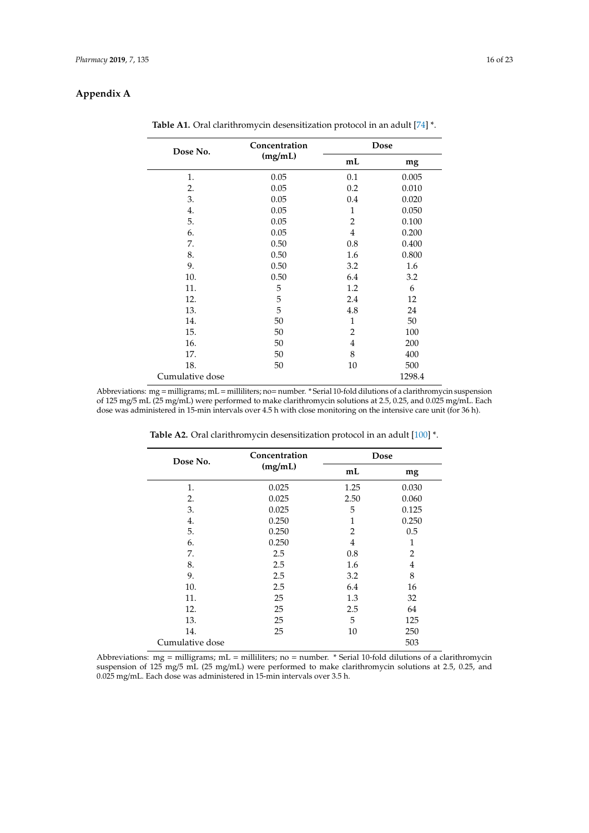## <span id="page-15-1"></span><span id="page-15-0"></span>**Appendix A**

| Dose No.        | Concentration |                | <b>Dose</b> |
|-----------------|---------------|----------------|-------------|
|                 | (mg/mL)       | mL             | mg          |
| 1.              | 0.05          | 0.1            | 0.005       |
| 2.              | 0.05          | 0.2            | 0.010       |
| 3.              | 0.05          | 0.4            | 0.020       |
| 4.              | 0.05          | $\mathbf 1$    | 0.050       |
| 5.              | 0.05          | $\overline{2}$ | 0.100       |
| 6.              | 0.05          | 4              | 0.200       |
| 7.              | 0.50          | 0.8            | 0.400       |
| 8.              | 0.50          | 1.6            | 0.800       |
| 9.              | 0.50          | 3.2            | 1.6         |
| 10.             | 0.50          | 6.4            | 3.2         |
| 11.             | 5             | 1.2            | 6           |
| 12.             | 5             | 2.4            | 12          |
| 13.             | 5             | 4.8            | 24          |
| 14.             | 50            | $\mathbf{1}$   | 50          |
| 15.             | 50            | $\overline{2}$ | 100         |
| 16.             | 50            | $\overline{4}$ | 200         |
| 17.             | 50            | 8              | 400         |
| 18.             | 50            | 10             | 500         |
| Cumulative dose |               |                | 1298.4      |

Table A1. Oral clarithromycin desensitization protocol in an adult [\[74\]](#page-19-8)  $*$ .

<span id="page-15-2"></span>Abbreviations: mg= milligrams; mL= milliliters; no=number. \* Serial 10-fold dilutions of a clarithromycin suspension of 125 mg/5 mL (25 mg/mL) were performed to make clarithromycin solutions at 2.5, 0.25, and 0.025 mg/mL. Each dose was administered in 15-min intervals over 4.5 h with close monitoring on the intensive care unit (for 36 h).

| Dose No.        | Concentration |                | <b>Dose</b> |
|-----------------|---------------|----------------|-------------|
|                 | (mg/mL)       | mL             | mg          |
| 1.              | 0.025         | 1.25           | 0.030       |
| 2.              | 0.025         | 2.50           | 0.060       |
| 3.              | 0.025         | 5              | 0.125       |
| 4.              | 0.250         | 1              | 0.250       |
| 5.              | 0.250         | $\overline{2}$ | 0.5         |
| 6.              | 0.250         | 4              | 1           |
| 7.              | 2.5           | 0.8            | 2           |
| 8.              | 2.5           | 1.6            | 4           |
| 9.              | 2.5           | 3.2            | 8           |
| 10.             | 2.5           | 6.4            | 16          |
| 11.             | 25            | 1.3            | 32          |
| 12.             | 25            | 2.5            | 64          |
| 13.             | 25            | 5              | 125         |
| 14.             | 25            | 10             | 250         |
| Cumulative dose |               |                | 503         |

Table A2. Oral clarithromycin desensitization protocol in an adult [\[100\]](#page-20-6) \*.

Abbreviations: mg = milligrams; mL = milliliters; no = number. \* Serial 10-fold dilutions of a clarithromycin suspension of 125 mg/5 mL (25 mg/mL) were performed to make clarithromycin solutions at 2.5, 0.25, and 0.025 mg/mL. Each dose was administered in 15-min intervals over 3.5 h.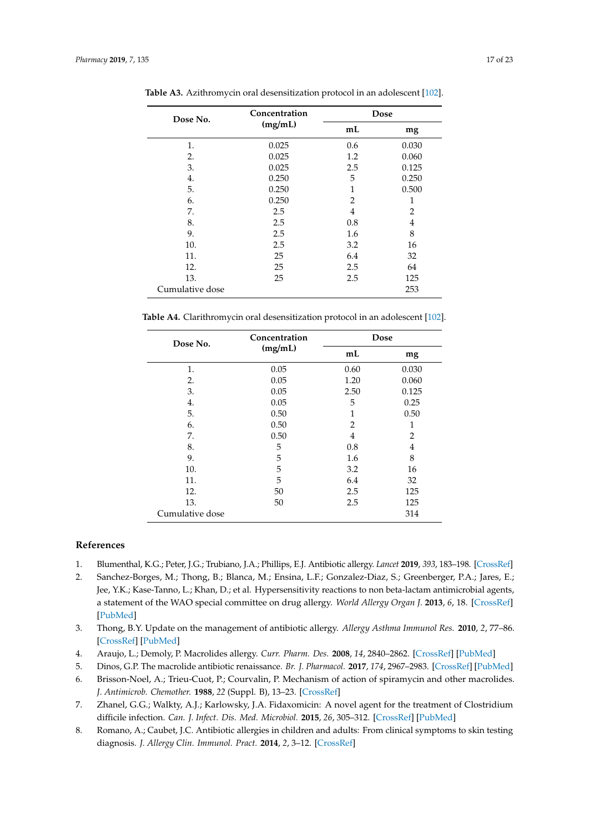| Dose No.        | Concentration<br>(mg/mL) | <b>Dose</b>    |                |
|-----------------|--------------------------|----------------|----------------|
|                 |                          | mL             | mg             |
| 1.              | 0.025                    | 0.6            | 0.030          |
| 2.              | 0.025                    | 1.2            | 0.060          |
| 3.              | 0.025                    | 2.5            | 0.125          |
| 4.              | 0.250                    | 5              | 0.250          |
| 5.              | 0.250                    | 1              | 0.500          |
| 6.              | 0.250                    | $\overline{2}$ | 1              |
| 7.              | 2.5                      | 4              | $\overline{2}$ |
| 8.              | 2.5                      | 0.8            | 4              |
| 9.              | 2.5                      | 1.6            | 8              |
| 10.             | 2.5                      | 3.2            | 16             |
| 11.             | 25                       | 6.4            | 32             |
| 12.             | 25                       | 2.5            | 64             |
| 13.             | 25                       | 2.5            | 125            |
| Cumulative dose |                          |                | 253            |

<span id="page-16-8"></span>**Table A3.** Azithromycin oral desensitization protocol in an adolescent [\[102\]](#page-20-10).

<span id="page-16-7"></span>**Table A4.** Clarithromycin oral desensitization protocol in an adolescent [\[102\]](#page-20-10).

| Dose No.        | Concentration<br>(mg/mL) | <b>Dose</b>    |                |
|-----------------|--------------------------|----------------|----------------|
|                 |                          | mL             | mg             |
| 1.              | 0.05                     | 0.60           | 0.030          |
| 2.              | 0.05                     | 1.20           | 0.060          |
| 3.              | 0.05                     | 2.50           | 0.125          |
| 4.              | 0.05                     | 5              | 0.25           |
| 5.              | 0.50                     | 1              | 0.50           |
| 6.              | 0.50                     | $\overline{2}$ | 1              |
| 7.              | 0.50                     | 4              | $\overline{2}$ |
| 8.              | 5                        | 0.8            | 4              |
| 9.              | 5                        | 1.6            | 8              |
| 10.             | 5                        | 3.2            | 16             |
| 11.             | 5                        | 6.4            | 32             |
| 12.             | 50                       | 2.5            | 125            |
| 13.             | 50                       | 2.5            | 125            |
| Cumulative dose |                          |                | 314            |

## **References**

- <span id="page-16-0"></span>1. Blumenthal, K.G.; Peter, J.G.; Trubiano, J.A.; Phillips, E.J. Antibiotic allergy. *Lancet* **2019**, *393*, 183–198. [\[CrossRef\]](http://dx.doi.org/10.1016/S0140-6736(18)32218-9)
- <span id="page-16-1"></span>2. Sanchez-Borges, M.; Thong, B.; Blanca, M.; Ensina, L.F.; Gonzalez-Diaz, S.; Greenberger, P.A.; Jares, E.; Jee, Y.K.; Kase-Tanno, L.; Khan, D.; et al. Hypersensitivity reactions to non beta-lactam antimicrobial agents, a statement of the WAO special committee on drug allergy. *World Allergy Organ J.* **2013**, *6*, 18. [\[CrossRef\]](http://dx.doi.org/10.1186/1939-4551-6-18) [\[PubMed\]](http://www.ncbi.nlm.nih.gov/pubmed/24175948)
- 3. Thong, B.Y. Update on the management of antibiotic allergy. *Allergy Asthma Immunol Res.* **2010**, *2*, 77–86. [\[CrossRef\]](http://dx.doi.org/10.4168/aair.2010.2.2.77) [\[PubMed\]](http://www.ncbi.nlm.nih.gov/pubmed/20358021)
- <span id="page-16-2"></span>4. Araujo, L.; Demoly, P. Macrolides allergy. *Curr. Pharm. Des.* **2008**, *14*, 2840–2862. [\[CrossRef\]](http://dx.doi.org/10.2174/138161208786369812) [\[PubMed\]](http://www.ncbi.nlm.nih.gov/pubmed/18991703)
- <span id="page-16-3"></span>5. Dinos, G.P. The macrolide antibiotic renaissance. *Br. J. Pharmacol.* **2017**, *174*, 2967–2983. [\[CrossRef\]](http://dx.doi.org/10.1111/bph.13936) [\[PubMed\]](http://www.ncbi.nlm.nih.gov/pubmed/28664582)
- <span id="page-16-4"></span>6. Brisson-Noel, A.; Trieu-Cuot, P.; Courvalin, P. Mechanism of action of spiramycin and other macrolides. *J. Antimicrob. Chemother.* **1988**, *22* (Suppl. B), 13–23. [\[CrossRef\]](http://dx.doi.org/10.1093/jac/22.Supplement_B.13)
- <span id="page-16-5"></span>7. Zhanel, G.G.; Walkty, A.J.; Karlowsky, J.A. Fidaxomicin: A novel agent for the treatment of Clostridium difficile infection. *Can. J. Infect. Dis. Med. Microbiol.* **2015**, *26*, 305–312. [\[CrossRef\]](http://dx.doi.org/10.1155/2015/934594) [\[PubMed\]](http://www.ncbi.nlm.nih.gov/pubmed/26744587)
- <span id="page-16-6"></span>8. Romano, A.; Caubet, J.C. Antibiotic allergies in children and adults: From clinical symptoms to skin testing diagnosis. *J. Allergy Clin. Immunol. Pract.* **2014**, *2*, 3–12. [\[CrossRef\]](http://dx.doi.org/10.1016/j.jaip.2013.11.006)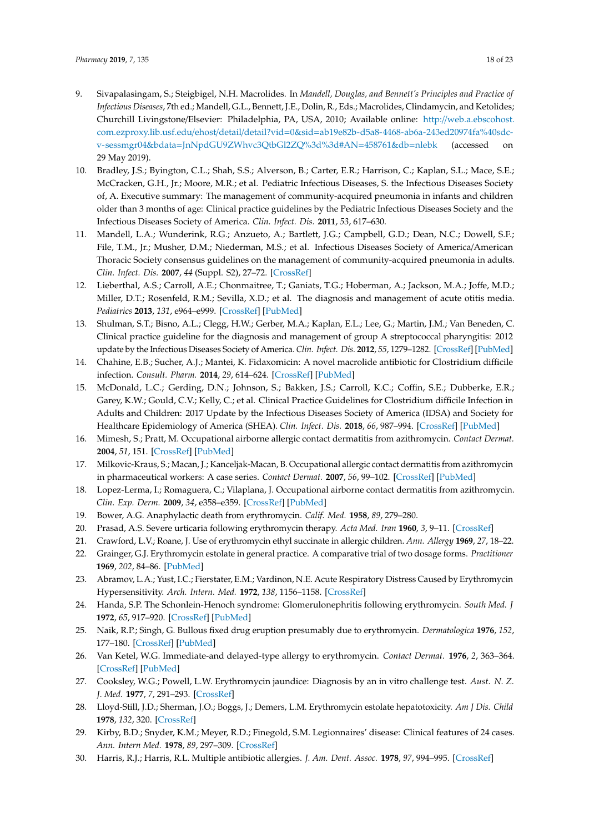- <span id="page-17-0"></span>9. Sivapalasingam, S.; Steigbigel, N.H. Macrolides. In *Mandell, Douglas, and Bennett's Principles and Practice of Infectious Diseases*, 7th ed.; Mandell, G.L., Bennett, J.E., Dolin, R., Eds.; Macrolides, Clindamycin, and Ketolides; Churchill Livingstone/Elsevier: Philadelphia, PA, USA, 2010; Available online: http://[web.a.ebscohost.](http://web.a.ebscohost.com.ezproxy.lib.usf.edu/ehost/detail/detail?vid=0&sid=ab19e82b-d5a8-4468-ab6a-243ed20974fa%40sdc-v-sessmgr04&bdata=JnNpdGU9ZWhvc3QtbGl2ZQ%3d%3d#AN=458761&db=nlebk) com.ezproxy.lib.usf.edu/ehost/detail/detail?vid=0&sid=[ab19e82b-d5a8-4468-ab6a-243ed20974fa%40sdc](http://web.a.ebscohost.com.ezproxy.lib.usf.edu/ehost/detail/detail?vid=0&sid=ab19e82b-d5a8-4468-ab6a-243ed20974fa%40sdc-v-sessmgr04&bdata=JnNpdGU9ZWhvc3QtbGl2ZQ%3d%3d#AN=458761&db=nlebk)v-sessmgr04&bdata=[JnNpdGU9ZWhvc3QtbGl2ZQ%3d%3d#AN](http://web.a.ebscohost.com.ezproxy.lib.usf.edu/ehost/detail/detail?vid=0&sid=ab19e82b-d5a8-4468-ab6a-243ed20974fa%40sdc-v-sessmgr04&bdata=JnNpdGU9ZWhvc3QtbGl2ZQ%3d%3d#AN=458761&db=nlebk)=458761&db=nlebk (accessed on 29 May 2019).
- <span id="page-17-23"></span><span id="page-17-1"></span>10. Bradley, J.S.; Byington, C.L.; Shah, S.S.; Alverson, B.; Carter, E.R.; Harrison, C.; Kaplan, S.L.; Mace, S.E.; McCracken, G.H., Jr.; Moore, M.R.; et al. Pediatric Infectious Diseases, S. the Infectious Diseases Society of, A. Executive summary: The management of community-acquired pneumonia in infants and children older than 3 months of age: Clinical practice guidelines by the Pediatric Infectious Diseases Society and the Infectious Diseases Society of America. *Clin. Infect. Dis.* **2011**, *53*, 617–630.
- <span id="page-17-25"></span><span id="page-17-24"></span><span id="page-17-3"></span>11. Mandell, L.A.; Wunderink, R.G.; Anzueto, A.; Bartlett, J.G.; Campbell, G.D.; Dean, N.C.; Dowell, S.F.; File, T.M., Jr.; Musher, D.M.; Niederman, M.S.; et al. Infectious Diseases Society of America/American Thoracic Society consensus guidelines on the management of community-acquired pneumonia in adults. *Clin. Infect. Dis.* **2007**, *44* (Suppl. S2), 27–72. [\[CrossRef\]](http://dx.doi.org/10.1086/511159)
- <span id="page-17-15"></span><span id="page-17-14"></span><span id="page-17-13"></span><span id="page-17-4"></span>12. Lieberthal, A.S.; Carroll, A.E.; Chonmaitree, T.; Ganiats, T.G.; Hoberman, A.; Jackson, M.A.; Joffe, M.D.; Miller, D.T.; Rosenfeld, R.M.; Sevilla, X.D.; et al. The diagnosis and management of acute otitis media. *Pediatrics* **2013**, *131*, e964–e999. [\[CrossRef\]](http://dx.doi.org/10.1542/peds.2012-3488) [\[PubMed\]](http://www.ncbi.nlm.nih.gov/pubmed/23439909)
- <span id="page-17-17"></span><span id="page-17-16"></span><span id="page-17-2"></span>13. Shulman, S.T.; Bisno, A.L.; Clegg, H.W.; Gerber, M.A.; Kaplan, E.L.; Lee, G.; Martin, J.M.; Van Beneden, C. Clinical practice guideline for the diagnosis and management of group A streptococcal pharyngitis: 2012 update by the Infectious Diseases Society of America. *Clin. Infect. Dis.* **2012**, *55*, 1279–1282. [\[CrossRef\]](http://dx.doi.org/10.1093/cid/cis847) [\[PubMed\]](http://www.ncbi.nlm.nih.gov/pubmed/23091044)
- <span id="page-17-5"></span>14. Chahine, E.B.; Sucher, A.J.; Mantei, K. Fidaxomicin: A novel macrolide antibiotic for Clostridium difficile infection. *Consult. Pharm.* **2014**, *29*, 614–624. [\[CrossRef\]](http://dx.doi.org/10.4140/TCP.n.2014.614) [\[PubMed\]](http://www.ncbi.nlm.nih.gov/pubmed/25203410)
- <span id="page-17-19"></span><span id="page-17-18"></span><span id="page-17-6"></span>15. McDonald, L.C.; Gerding, D.N.; Johnson, S.; Bakken, J.S.; Carroll, K.C.; Coffin, S.E.; Dubberke, E.R.; Garey, K.W.; Gould, C.V.; Kelly, C.; et al. Clinical Practice Guidelines for Clostridium difficile Infection in Adults and Children: 2017 Update by the Infectious Diseases Society of America (IDSA) and Society for Healthcare Epidemiology of America (SHEA). *Clin. Infect. Dis.* **2018**, *66*, 987–994. [\[CrossRef\]](http://dx.doi.org/10.1093/cid/ciy149) [\[PubMed\]](http://www.ncbi.nlm.nih.gov/pubmed/29562266)
- <span id="page-17-20"></span><span id="page-17-7"></span>16. Mimesh, S.; Pratt, M. Occupational airborne allergic contact dermatitis from azithromycin. *Contact Dermat.* **2004**, *51*, 151. [\[CrossRef\]](http://dx.doi.org/10.1111/j.0105-1873.2004.0426d.x) [\[PubMed\]](http://www.ncbi.nlm.nih.gov/pubmed/15479208)
- <span id="page-17-21"></span>17. Milkovic-Kraus, S.; Macan, J.; Kanceljak-Macan, B. Occupational allergic contact dermatitis from azithromycin in pharmaceutical workers: A case series. *Contact Dermat.* **2007**, *56*, 99–102. [\[CrossRef\]](http://dx.doi.org/10.1111/j.1600-0536.2007.00999.x) [\[PubMed\]](http://www.ncbi.nlm.nih.gov/pubmed/17244078)
- <span id="page-17-8"></span>18. Lopez-Lerma, I.; Romaguera, C.; Vilaplana, J. Occupational airborne contact dermatitis from azithromycin. *Clin. Exp. Derm.* **2009**, *34*, e358–e359. [\[CrossRef\]](http://dx.doi.org/10.1111/j.1365-2230.2009.03313.x) [\[PubMed\]](http://www.ncbi.nlm.nih.gov/pubmed/19486052)
- <span id="page-17-22"></span><span id="page-17-9"></span>19. Bower, A.G. Anaphylactic death from erythromycin. *Calif. Med.* **1958**, *89*, 279–280.
- 20. Prasad, A.S. Severe urticaria following erythromycin therapy. *Acta Med. Iran* **1960**, *3*, 9–11. [\[CrossRef\]](http://dx.doi.org/10.1056/NEJM196001212620308)
- 21. Crawford, L.V.; Roane, J. Use of erythromycin ethyl succinate in allergic children. *Ann. Allergy* **1969**, *27*, 18–22.
- 22. Grainger, G.J. Erythromycin estolate in general practice. A comparative trial of two dosage forms. *Practitioner* **1969**, *202*, 84–86. [\[PubMed\]](http://www.ncbi.nlm.nih.gov/pubmed/4895696)
- <span id="page-17-11"></span>23. Abramov, L.A.; Yust, I.C.; Fierstater, E.M.; Vardinon, N.E. Acute Respiratory Distress Caused by Erythromycin Hypersensitivity. *Arch. Intern. Med.* **1972**, *138*, 1156–1158. [\[CrossRef\]](http://dx.doi.org/10.1001/archinte.1978.03630320088033)
- 24. Handa, S.P. The Schonlein-Henoch syndrome: Glomerulonephritis following erythromycin. *South Med. J* **1972**, *65*, 917–920. [\[CrossRef\]](http://dx.doi.org/10.1097/00007611-197208000-00004) [\[PubMed\]](http://www.ncbi.nlm.nih.gov/pubmed/5044421)
- <span id="page-17-12"></span>25. Naik, R.P.; Singh, G. Bullous fixed drug eruption presumably due to erythromycin. *Dermatologica* **1976**, *152*, 177–180. [\[CrossRef\]](http://dx.doi.org/10.1159/000251245) [\[PubMed\]](http://www.ncbi.nlm.nih.gov/pubmed/133039)
- <span id="page-17-10"></span>26. Van Ketel, W.G. Immediate-and delayed-type allergy to erythromycin. *Contact Dermat.* **1976**, *2*, 363–364. [\[CrossRef\]](http://dx.doi.org/10.1111/j.1600-0536.1976.tb03085.x) [\[PubMed\]](http://www.ncbi.nlm.nih.gov/pubmed/1032135)
- 27. Cooksley, W.G.; Powell, L.W. Erythromycin jaundice: Diagnosis by an in vitro challenge test. *Aust. N. Z. J. Med.* **1977**, *7*, 291–293. [\[CrossRef\]](http://dx.doi.org/10.1111/j.1445-5994.1977.tb03689.x)
- 28. Lloyd-Still, J.D.; Sherman, J.O.; Boggs, J.; Demers, L.M. Erythromycin estolate hepatotoxicity. *Am J Dis. Child* **1978**, *132*, 320. [\[CrossRef\]](http://dx.doi.org/10.1001/archpedi.1978.02120280104025)
- 29. Kirby, B.D.; Snyder, K.M.; Meyer, R.D.; Finegold, S.M. Legionnaires' disease: Clinical features of 24 cases. *Ann. Intern Med.* **1978**, *89*, 297–309. [\[CrossRef\]](http://dx.doi.org/10.7326/0003-4819-89-3-297)
- 30. Harris, R.J.; Harris, R.L. Multiple antibiotic allergies. *J. Am. Dent. Assoc.* **1978**, *97*, 994–995. [\[CrossRef\]](http://dx.doi.org/10.14219/jada.archive.1978.0427)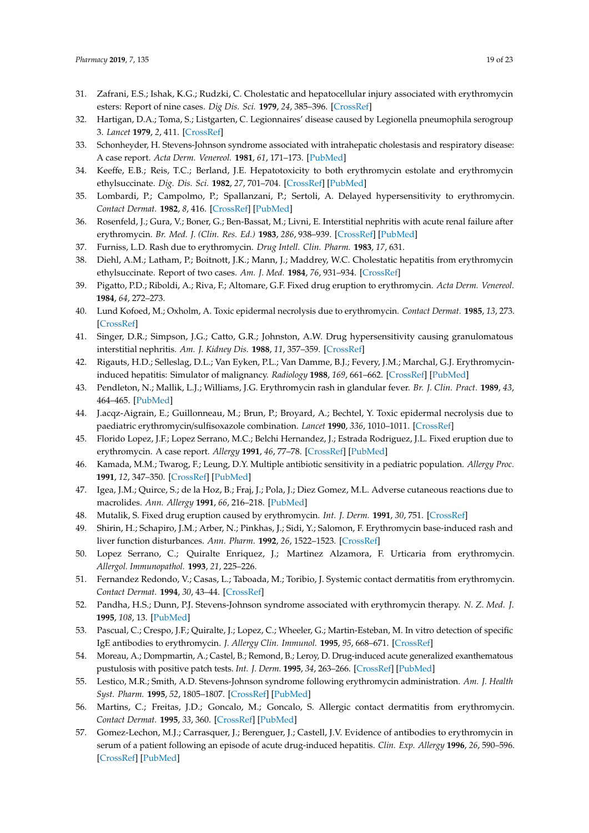- <span id="page-18-19"></span><span id="page-18-18"></span><span id="page-18-17"></span><span id="page-18-16"></span><span id="page-18-15"></span><span id="page-18-14"></span><span id="page-18-13"></span><span id="page-18-12"></span><span id="page-18-11"></span><span id="page-18-10"></span><span id="page-18-9"></span>31. Zafrani, E.S.; Ishak, K.G.; Rudzki, C. Cholestatic and hepatocellular injury associated with erythromycin esters: Report of nine cases. *Dig Dis. Sci.* **1979**, *24*, 385–396. [\[CrossRef\]](http://dx.doi.org/10.1007/BF01297126)
- <span id="page-18-20"></span>32. Hartigan, D.A.; Toma, S.; Listgarten, C. Legionnaires' disease caused by Legionella pneumophila serogroup 3. *Lancet* **1979**, *2*, 411. [\[CrossRef\]](http://dx.doi.org/10.1016/S0140-6736(79)90420-3)
- <span id="page-18-21"></span><span id="page-18-4"></span>33. Schonheyder, H. Stevens-Johnson syndrome associated with intrahepatic cholestasis and respiratory disease: A case report. *Acta Derm. Venereol.* **1981**, *61*, 171–173. [\[PubMed\]](http://www.ncbi.nlm.nih.gov/pubmed/6165201)
- <span id="page-18-22"></span>34. Keeffe, E.B.; Reis, T.C.; Berland, J.E. Hepatotoxicity to both erythromycin estolate and erythromycin ethylsuccinate. *Dig. Dis. Sci.* **1982**, *27*, 701–704. [\[CrossRef\]](http://dx.doi.org/10.1007/BF01393764) [\[PubMed\]](http://www.ncbi.nlm.nih.gov/pubmed/6980110)
- <span id="page-18-1"></span>35. Lombardi, P.; Campolmo, P.; Spallanzani, P.; Sertoli, A. Delayed hypersensitivity to erythromycin. *Contact Dermat.* **1982**, *8*, 416. [\[CrossRef\]](http://dx.doi.org/10.1111/j.1600-0536.1982.tb04270.x) [\[PubMed\]](http://www.ncbi.nlm.nih.gov/pubmed/7172657)
- <span id="page-18-23"></span>36. Rosenfeld, J.; Gura, V.; Boner, G.; Ben-Bassat, M.; Livni, E. Interstitial nephritis with acute renal failure after erythromycin. *Br. Med. J. (Clin. Res. Ed.)* **1983**, *286*, 938–939. [\[CrossRef\]](http://dx.doi.org/10.1136/bmj.286.6369.938) [\[PubMed\]](http://www.ncbi.nlm.nih.gov/pubmed/6403143)
- <span id="page-18-24"></span>37. Furniss, L.D. Rash due to erythromycin. *Drug Intell. Clin. Pharm.* **1983**, *17*, 631.
- <span id="page-18-25"></span>38. Diehl, A.M.; Latham, P.; Boitnott, J.K.; Mann, J.; Maddrey, W.C. Cholestatic hepatitis from erythromycin ethylsuccinate. Report of two cases. *Am. J. Med.* **1984**, *76*, 931–934. [\[CrossRef\]](http://dx.doi.org/10.1016/0002-9343(84)91013-1)
- <span id="page-18-26"></span>39. Pigatto, P.D.; Riboldi, A.; Riva, F.; Altomare, G.F. Fixed drug eruption to erythromycin. *Acta Derm. Venereol.* **1984**, *64*, 272–273.
- <span id="page-18-27"></span>40. Lund Kofoed, M.; Oxholm, A. Toxic epidermal necrolysis due to erythromycin. *Contact Dermat.* **1985**, *13*, 273. [\[CrossRef\]](http://dx.doi.org/10.1111/j.1600-0536.1985.tb02565.x)
- <span id="page-18-5"></span>41. Singer, D.R.; Simpson, J.G.; Catto, G.R.; Johnston, A.W. Drug hypersensitivity causing granulomatous interstitial nephritis. *Am. J. Kidney Dis.* **1988**, *11*, 357–359. [\[CrossRef\]](http://dx.doi.org/10.1016/S0272-6386(88)80144-6)
- <span id="page-18-28"></span>42. Rigauts, H.D.; Selleslag, D.L.; Van Eyken, P.L.; Van Damme, B.J.; Fevery, J.M.; Marchal, G.J. Erythromycininduced hepatitis: Simulator of malignancy. *Radiology* **1988**, *169*, 661–662. [\[CrossRef\]](http://dx.doi.org/10.1148/radiology.169.3.3055031) [\[PubMed\]](http://www.ncbi.nlm.nih.gov/pubmed/3055031)
- <span id="page-18-29"></span><span id="page-18-0"></span>43. Pendleton, N.; Mallik, L.J.; Williams, J.G. Erythromycin rash in glandular fever. *Br. J. Clin. Pract.* **1989**, *43*, 464–465. [\[PubMed\]](http://www.ncbi.nlm.nih.gov/pubmed/2532924)
- <span id="page-18-30"></span><span id="page-18-6"></span>44. J.acqz-Aigrain, E.; Guillonneau, M.; Brun, P.; Broyard, A.; Bechtel, Y. Toxic epidermal necrolysis due to paediatric erythromycin/sulfisoxazole combination. *Lancet* **1990**, *336*, 1010–1011. [\[CrossRef\]](http://dx.doi.org/10.1016/0140-6736(90)92475-W)
- <span id="page-18-31"></span><span id="page-18-8"></span>45. Florido Lopez, J.F.; Lopez Serrano, M.C.; Belchi Hernandez, J.; Estrada Rodriguez, J.L. Fixed eruption due to erythromycin. A case report. *Allergy* **1991**, *46*, 77–78. [\[CrossRef\]](http://dx.doi.org/10.1111/j.1398-9995.1991.tb00546.x) [\[PubMed\]](http://www.ncbi.nlm.nih.gov/pubmed/1826819)
- <span id="page-18-7"></span>46. Kamada, M.M.; Twarog, F.; Leung, D.Y. Multiple antibiotic sensitivity in a pediatric population. *Allergy Proc.* **1991**, *12*, 347–350. [\[CrossRef\]](http://dx.doi.org/10.2500/108854191778879124) [\[PubMed\]](http://www.ncbi.nlm.nih.gov/pubmed/1959773)
- <span id="page-18-32"></span>47. Igea, J.M.; Quirce, S.; de la Hoz, B.; Fraj, J.; Pola, J.; Diez Gomez, M.L. Adverse cutaneous reactions due to macrolides. *Ann. Allergy* **1991**, *66*, 216–218. [\[PubMed\]](http://www.ncbi.nlm.nih.gov/pubmed/1706568)
- 48. Mutalik, S. Fixed drug eruption caused by erythromycin. *Int. J. Derm.* **1991**, *30*, 751. [\[CrossRef\]](http://dx.doi.org/10.1111/j.1365-4362.1991.tb02633.x)
- 49. Shirin, H.; Schapiro, J.M.; Arber, N.; Pinkhas, J.; Sidi, Y.; Salomon, F. Erythromycin base-induced rash and liver function disturbances. *Ann. Pharm.* **1992**, *26*, 1522–1523. [\[CrossRef\]](http://dx.doi.org/10.1177/106002809202601207)
- 50. Lopez Serrano, C.; Quiralte Enriquez, J.; Martinez Alzamora, F. Urticaria from erythromycin. *Allergol. Immunopathol.* **1993**, *21*, 225–226.
- <span id="page-18-2"></span>51. Fernandez Redondo, V.; Casas, L.; Taboada, M.; Toribio, J. Systemic contact dermatitis from erythromycin. *Contact Dermat.* **1994**, *30*, 43–44. [\[CrossRef\]](http://dx.doi.org/10.1111/j.1600-0536.1994.tb00729.x)
- 52. Pandha, H.S.; Dunn, P.J. Stevens-Johnson syndrome associated with erythromycin therapy. *N. Z. Med. J.* **1995**, *108*, 13. [\[PubMed\]](http://www.ncbi.nlm.nih.gov/pubmed/7862351)
- 53. Pascual, C.; Crespo, J.F.; Quiralte, J.; Lopez, C.; Wheeler, G.; Martin-Esteban, M. In vitro detection of specific IgE antibodies to erythromycin. *J. Allergy Clin. Immunol.* **1995**, *95*, 668–671. [\[CrossRef\]](http://dx.doi.org/10.1016/S0091-6749(95)70170-2)
- 54. Moreau, A.; Dompmartin, A.; Castel, B.; Remond, B.; Leroy, D. Drug-induced acute generalized exanthematous pustulosis with positive patch tests. *Int. J. Derm.* **1995**, *34*, 263–266. [\[CrossRef\]](http://dx.doi.org/10.1111/j.1365-4362.1995.tb01593.x) [\[PubMed\]](http://www.ncbi.nlm.nih.gov/pubmed/7790142)
- 55. Lestico, M.R.; Smith, A.D. Stevens-Johnson syndrome following erythromycin administration. *Am. J. Health Syst. Pharm.* **1995**, *52*, 1805–1807. [\[CrossRef\]](http://dx.doi.org/10.1093/ajhp/52.16.1805) [\[PubMed\]](http://www.ncbi.nlm.nih.gov/pubmed/8528839)
- <span id="page-18-3"></span>56. Martins, C.; Freitas, J.D.; Goncalo, M.; Goncalo, S. Allergic contact dermatitis from erythromycin. *Contact Dermat.* **1995**, *33*, 360. [\[CrossRef\]](http://dx.doi.org/10.1111/j.1600-0536.1995.tb02063.x) [\[PubMed\]](http://www.ncbi.nlm.nih.gov/pubmed/8565504)
- 57. Gomez-Lechon, M.J.; Carrasquer, J.; Berenguer, J.; Castell, J.V. Evidence of antibodies to erythromycin in serum of a patient following an episode of acute drug-induced hepatitis. *Clin. Exp. Allergy* **1996**, *26*, 590–596. [\[CrossRef\]](http://dx.doi.org/10.1111/j.1365-2222.1996.tb00581.x) [\[PubMed\]](http://www.ncbi.nlm.nih.gov/pubmed/8735873)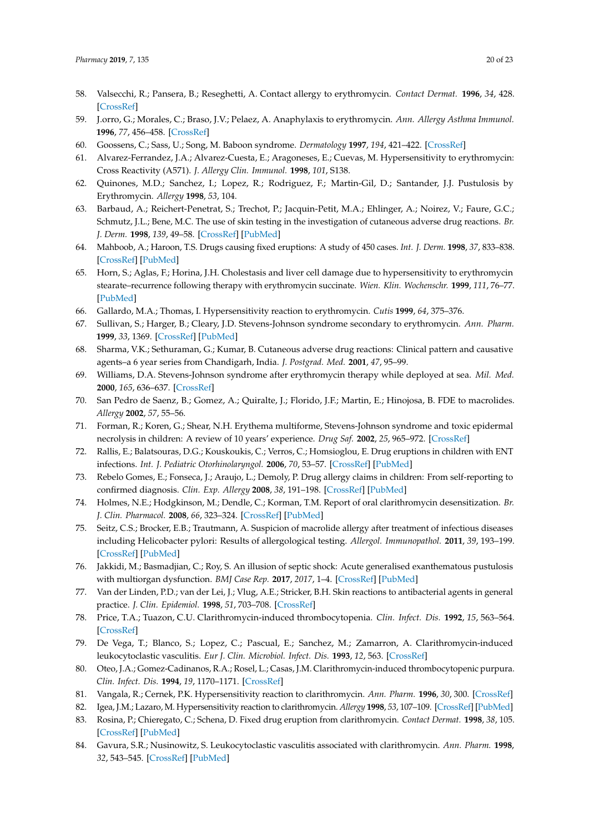- <span id="page-19-24"></span><span id="page-19-23"></span><span id="page-19-22"></span><span id="page-19-21"></span><span id="page-19-20"></span><span id="page-19-19"></span><span id="page-19-18"></span><span id="page-19-17"></span><span id="page-19-16"></span><span id="page-19-15"></span><span id="page-19-14"></span><span id="page-19-5"></span>58. Valsecchi, R.; Pansera, B.; Reseghetti, A. Contact allergy to erythromycin. *Contact Dermat.* **1996**, *34*, 428. [\[CrossRef\]](http://dx.doi.org/10.1111/j.1600-0536.1996.tb02248.x)
- <span id="page-19-25"></span><span id="page-19-6"></span>59. J.orro, G.; Morales, C.; Braso, J.V.; Pelaez, A. Anaphylaxis to erythromycin. *Ann. Allergy Asthma Immunol.* **1996**, *77*, 456–458. [\[CrossRef\]](http://dx.doi.org/10.1016/S1081-1206(10)63349-2)
- <span id="page-19-10"></span>60. Goossens, C.; Sass, U.; Song, M. Baboon syndrome. *Dermatology* **1997**, *194*, 421–422. [\[CrossRef\]](http://dx.doi.org/10.1159/000246167)
- <span id="page-19-26"></span>61. Alvarez-Ferrandez, J.A.; Alvarez-Cuesta, E.; Aragoneses, E.; Cuevas, M. Hypersensitivity to erythromycin: Cross Reactivity (A571). *J. Allergy Clin. Immunol.* **1998**, *101*, S138.
- <span id="page-19-27"></span>62. Quinones, M.D.; Sanchez, I.; Lopez, R.; Rodriguez, F.; Martin-Gil, D.; Santander, J.J. Pustulosis by Erythromycin. *Allergy* **1998**, *53*, 104.
- <span id="page-19-29"></span><span id="page-19-28"></span>63. Barbaud, A.; Reichert-Penetrat, S.; Trechot, P.; Jacquin-Petit, M.A.; Ehlinger, A.; Noirez, V.; Faure, G.C.; Schmutz, J.L.; Bene, M.C. The use of skin testing in the investigation of cutaneous adverse drug reactions. *Br. J. Derm.* **1998**, *139*, 49–58. [\[CrossRef\]](http://dx.doi.org/10.1046/j.1365-2133.1998.02313.x) [\[PubMed\]](http://www.ncbi.nlm.nih.gov/pubmed/9764148)
- <span id="page-19-30"></span>64. Mahboob, A.; Haroon, T.S. Drugs causing fixed eruptions: A study of 450 cases. *Int. J. Derm.* **1998**, *37*, 833–838. [\[CrossRef\]](http://dx.doi.org/10.1046/j.1365-4362.1998.00451.x) [\[PubMed\]](http://www.ncbi.nlm.nih.gov/pubmed/9865869)
- <span id="page-19-31"></span>65. Horn, S.; Aglas, F.; Horina, J.H. Cholestasis and liver cell damage due to hypersensitivity to erythromycin stearate–recurrence following therapy with erythromycin succinate. *Wien. Klin. Wochenschr.* **1999**, *111*, 76–77. [\[PubMed\]](http://www.ncbi.nlm.nih.gov/pubmed/10081126)
- <span id="page-19-7"></span>66. Gallardo, M.A.; Thomas, I. Hypersensitivity reaction to erythromycin. *Cutis* **1999**, *64*, 375–376.
- <span id="page-19-32"></span>67. Sullivan, S.; Harger, B.; Cleary, J.D. Stevens-Johnson syndrome secondary to erythromycin. *Ann. Pharm.* **1999**, *33*, 1369. [\[CrossRef\]](http://dx.doi.org/10.1345/aph.19089) [\[PubMed\]](http://www.ncbi.nlm.nih.gov/pubmed/10630839)
- <span id="page-19-33"></span>68. Sharma, V.K.; Sethuraman, G.; Kumar, B. Cutaneous adverse drug reactions: Clinical pattern and causative agents–a 6 year series from Chandigarh, India. *J. Postgrad. Med.* **2001**, *47*, 95–99.
- <span id="page-19-34"></span>69. Williams, D.A. Stevens-Johnson syndrome after erythromycin therapy while deployed at sea. *Mil. Med.* **2000**, *165*, 636–637. [\[CrossRef\]](http://dx.doi.org/10.1093/milmed/165.8.636)
- <span id="page-19-35"></span>70. San Pedro de Saenz, B.; Gomez, A.; Quiralte, J.; Florido, J.F.; Martin, E.; Hinojosa, B. FDE to macrolides. *Allergy* **2002**, *57*, 55–56.
- <span id="page-19-36"></span>71. Forman, R.; Koren, G.; Shear, N.H. Erythema multiforme, Stevens-Johnson syndrome and toxic epidermal necrolysis in children: A review of 10 years' experience. *Drug Saf.* **2002**, *25*, 965–972. [\[CrossRef\]](http://dx.doi.org/10.2165/00002018-200225130-00006)
- <span id="page-19-38"></span><span id="page-19-37"></span><span id="page-19-1"></span>72. Rallis, E.; Balatsouras, D.G.; Kouskoukis, C.; Verros, C.; Homsioglou, E. Drug eruptions in children with ENT infections. *Int. J. Pediatric Otorhinolaryngol.* **2006**, *70*, 53–57. [\[CrossRef\]](http://dx.doi.org/10.1016/j.ijporl.2005.05.012) [\[PubMed\]](http://www.ncbi.nlm.nih.gov/pubmed/15978677)
- <span id="page-19-2"></span>73. Rebelo Gomes, E.; Fonseca, J.; Araujo, L.; Demoly, P. Drug allergy claims in children: From self-reporting to confirmed diagnosis. *Clin. Exp. Allergy* **2008**, *38*, 191–198. [\[CrossRef\]](http://dx.doi.org/10.1111/j.1365-2222.2007.02870.x) [\[PubMed\]](http://www.ncbi.nlm.nih.gov/pubmed/18028465)
- <span id="page-19-8"></span>74. Holmes, N.E.; Hodgkinson, M.; Dendle, C.; Korman, T.M. Report of oral clarithromycin desensitization. *Br. J. Clin. Pharmacol.* **2008**, *66*, 323–324. [\[CrossRef\]](http://dx.doi.org/10.1111/j.1365-2125.2008.03192.x) [\[PubMed\]](http://www.ncbi.nlm.nih.gov/pubmed/18460032)
- <span id="page-19-3"></span>75. Seitz, C.S.; Brocker, E.B.; Trautmann, A. Suspicion of macrolide allergy after treatment of infectious diseases including Helicobacter pylori: Results of allergological testing. *Allergol. Immunopathol.* **2011**, *39*, 193–199. [\[CrossRef\]](http://dx.doi.org/10.1016/j.aller.2010.06.008) [\[PubMed\]](http://www.ncbi.nlm.nih.gov/pubmed/21269750)
- <span id="page-19-13"></span>76. Jakkidi, M.; Basmadjian, C.; Roy, S. An illusion of septic shock: Acute generalised exanthematous pustulosis with multiorgan dysfunction. *BMJ Case Rep.* **2017**, *2017*, 1–4. [\[CrossRef\]](http://dx.doi.org/10.1136/bcr-2017-220612) [\[PubMed\]](http://www.ncbi.nlm.nih.gov/pubmed/28768672)
- <span id="page-19-0"></span>77. Van der Linden, P.D.; van der Lei, J.; Vlug, A.E.; Stricker, B.H. Skin reactions to antibacterial agents in general practice. *J. Clin. Epidemiol.* **1998**, *51*, 703–708. [\[CrossRef\]](http://dx.doi.org/10.1016/S0895-4356(98)00041-9)
- <span id="page-19-4"></span>78. Price, T.A.; Tuazon, C.U. Clarithromycin-induced thrombocytopenia. *Clin. Infect. Dis.* **1992**, *15*, 563–564. [\[CrossRef\]](http://dx.doi.org/10.1093/clind/15.3.563)
- <span id="page-19-11"></span>79. De Vega, T.; Blanco, S.; Lopez, C.; Pascual, E.; Sanchez, M.; Zamarron, A. Clarithromycin-induced leukocytoclastic vasculitis. *Eur J. Clin. Microbiol. Infect. Dis.* **1993**, *12*, 563. [\[CrossRef\]](http://dx.doi.org/10.1007/BF01970967)
- 80. Oteo, J.A.; Gomez-Cadinanos, R.A.; Rosel, L.; Casas, J.M. Clarithromycin-induced thrombocytopenic purpura. *Clin. Infect. Dis.* **1994**, *19*, 1170–1171. [\[CrossRef\]](http://dx.doi.org/10.1093/clinids/19.6.1170-a)
- <span id="page-19-9"></span>81. Vangala, R.; Cernek, P.K. Hypersensitivity reaction to clarithromycin. *Ann. Pharm.* **1996**, *30*, 300. [\[CrossRef\]](http://dx.doi.org/10.1177/106002809603000320)

82. Igea, J.M.; Lazaro, M. Hypersensitivity reaction to clarithromycin. *Allergy* **1998**, *53*, 107–109. [\[CrossRef\]](http://dx.doi.org/10.1111/j.1398-9995.1998.tb03787.x) [\[PubMed\]](http://www.ncbi.nlm.nih.gov/pubmed/9491242)

- 83. Rosina, P.; Chieregato, C.; Schena, D. Fixed drug eruption from clarithromycin. *Contact Dermat.* **1998**, *38*, 105. [\[CrossRef\]](http://dx.doi.org/10.1111/j.1600-0536.1998.tb05661.x) [\[PubMed\]](http://www.ncbi.nlm.nih.gov/pubmed/9506224)
- <span id="page-19-12"></span>84. Gavura, S.R.; Nusinowitz, S. Leukocytoclastic vasculitis associated with clarithromycin. *Ann. Pharm.* **1998**, *32*, 543–545. [\[CrossRef\]](http://dx.doi.org/10.1345/aph.17286) [\[PubMed\]](http://www.ncbi.nlm.nih.gov/pubmed/9606474)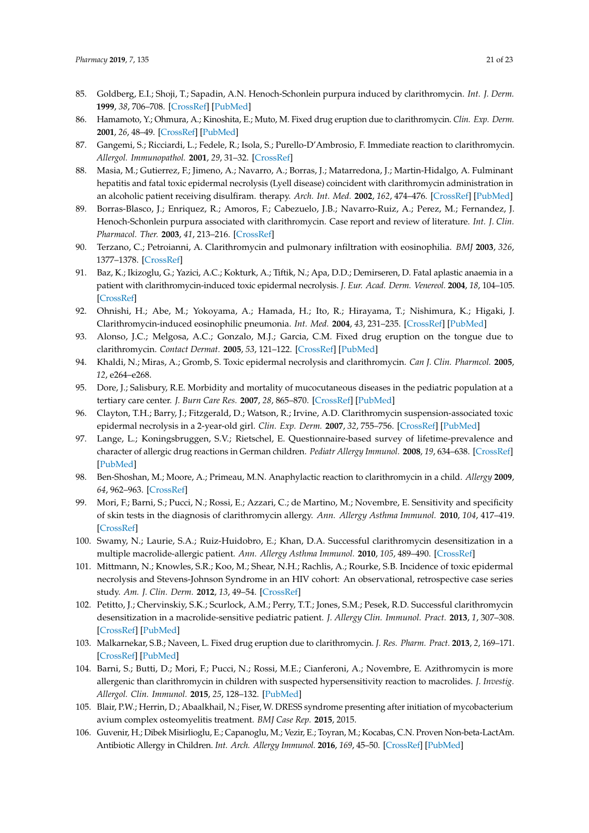- <span id="page-20-19"></span><span id="page-20-18"></span><span id="page-20-17"></span><span id="page-20-16"></span><span id="page-20-15"></span><span id="page-20-14"></span><span id="page-20-13"></span><span id="page-20-12"></span><span id="page-20-11"></span>85. Goldberg, E.I.; Shoji, T.; Sapadin, A.N. Henoch-Schonlein purpura induced by clarithromycin. *Int. J. Derm.* **1999**, *38*, 706–708. [\[CrossRef\]](http://dx.doi.org/10.1046/j.1365-4362.1999.00741.x) [\[PubMed\]](http://www.ncbi.nlm.nih.gov/pubmed/10517691)
- <span id="page-20-20"></span>86. Hamamoto, Y.; Ohmura, A.; Kinoshita, E.; Muto, M. Fixed drug eruption due to clarithromycin. *Clin. Exp. Derm.* **2001**, *26*, 48–49. [\[CrossRef\]](http://dx.doi.org/10.1046/j.1365-2230.2001.00760.x) [\[PubMed\]](http://www.ncbi.nlm.nih.gov/pubmed/11260179)
- <span id="page-20-21"></span>87. Gangemi, S.; Ricciardi, L.; Fedele, R.; Isola, S.; Purello-D'Ambrosio, F. Immediate reaction to clarithromycin. *Allergol. Immunopathol.* **2001**, *29*, 31–32. [\[CrossRef\]](http://dx.doi.org/10.1016/S0301-0546(01)79013-1)
- <span id="page-20-23"></span><span id="page-20-22"></span><span id="page-20-3"></span>88. Masia, M.; Gutierrez, F.; Jimeno, A.; Navarro, A.; Borras, J.; Matarredona, J.; Martin-Hidalgo, A. Fulminant hepatitis and fatal toxic epidermal necrolysis (Lyell disease) coincident with clarithromycin administration in an alcoholic patient receiving disulfiram. therapy. *Arch. Int. Med.* **2002**, *162*, 474–476. [\[CrossRef\]](http://dx.doi.org/10.1001/archinte.162.4.474) [\[PubMed\]](http://www.ncbi.nlm.nih.gov/pubmed/11863483)
- <span id="page-20-24"></span>89. Borras-Blasco, J.; Enriquez, R.; Amoros, F.; Cabezuelo, J.B.; Navarro-Ruiz, A.; Perez, M.; Fernandez, J. Henoch-Schonlein purpura associated with clarithromycin. Case report and review of literature. *Int. J. Clin. Pharmacol. Ther.* **2003**, *41*, 213–216. [\[CrossRef\]](http://dx.doi.org/10.5414/CPP41213)
- <span id="page-20-25"></span><span id="page-20-8"></span>90. Terzano, C.; Petroianni, A. Clarithromycin and pulmonary infiltration with eosinophilia. *BMJ* **2003**, *326*, 1377–1378. [\[CrossRef\]](http://dx.doi.org/10.1136/bmj.326.7403.1377)
- <span id="page-20-26"></span><span id="page-20-4"></span>91. Baz, K.; Ikizoglu, G.; Yazici, A.C.; Kokturk, A.; Tiftik, N.; Apa, D.D.; Demirseren, D. Fatal aplastic anaemia in a patient with clarithromycin-induced toxic epidermal necrolysis. *J. Eur. Acad. Derm. Venereol.* **2004**, *18*, 104–105. [\[CrossRef\]](http://dx.doi.org/10.1111/j.1468-3083.2004.00772.x)
- <span id="page-20-27"></span>92. Ohnishi, H.; Abe, M.; Yokoyama, A.; Hamada, H.; Ito, R.; Hirayama, T.; Nishimura, K.; Higaki, J. Clarithromycin-induced eosinophilic pneumonia. *Int. Med.* **2004**, *43*, 231–235. [\[CrossRef\]](http://dx.doi.org/10.2169/internalmedicine.43.231) [\[PubMed\]](http://www.ncbi.nlm.nih.gov/pubmed/15098607)
- 93. Alonso, J.C.; Melgosa, A.C.; Gonzalo, M.J.; Garcia, C.M. Fixed drug eruption on the tongue due to clarithromycin. *Contact Dermat.* **2005**, *53*, 121–122. [\[CrossRef\]](http://dx.doi.org/10.1111/j.0105-1873.2005.0650h.x) [\[PubMed\]](http://www.ncbi.nlm.nih.gov/pubmed/16033413)
- <span id="page-20-28"></span>94. Khaldi, N.; Miras, A.; Gromb, S. Toxic epidermal necrolysis and clarithromycin. *Can J. Clin. Pharmcol.* **2005**, *12*, e264–e268.
- <span id="page-20-29"></span><span id="page-20-1"></span>95. Dore, J.; Salisbury, R.E. Morbidity and mortality of mucocutaneous diseases in the pediatric population at a tertiary care center. *J. Burn Care Res.* **2007**, *28*, 865–870. [\[CrossRef\]](http://dx.doi.org/10.1097/BCR.0b013e318159a3c7) [\[PubMed\]](http://www.ncbi.nlm.nih.gov/pubmed/17925657)
- <span id="page-20-30"></span>96. Clayton, T.H.; Barry, J.; Fitzgerald, D.; Watson, R.; Irvine, A.D. Clarithromycin suspension-associated toxic epidermal necrolysis in a 2-year-old girl. *Clin. Exp. Derm.* **2007**, *32*, 755–756. [\[CrossRef\]](http://dx.doi.org/10.1111/j.1365-2230.2007.02504.x) [\[PubMed\]](http://www.ncbi.nlm.nih.gov/pubmed/17714526)
- <span id="page-20-31"></span>97. Lange, L.; Koningsbruggen, S.V.; Rietschel, E. Questionnaire-based survey of lifetime-prevalence and character of allergic drug reactions in German children. *Pediatr Allergy Immunol.* **2008**, *19*, 634–638. [\[CrossRef\]](http://dx.doi.org/10.1111/j.1399-3038.2007.00702.x) [\[PubMed\]](http://www.ncbi.nlm.nih.gov/pubmed/18221471)
- <span id="page-20-32"></span><span id="page-20-5"></span>98. Ben-Shoshan, M.; Moore, A.; Primeau, M.N. Anaphylactic reaction to clarithromycin in a child. *Allergy* **2009**, *64*, 962–963. [\[CrossRef\]](http://dx.doi.org/10.1111/j.1398-9995.2009.01990.x)
- 99. Mori, F.; Barni, S.; Pucci, N.; Rossi, E.; Azzari, C.; de Martino, M.; Novembre, E. Sensitivity and specificity of skin tests in the diagnosis of clarithromycin allergy. *Ann. Allergy Asthma Immunol.* **2010**, *104*, 417–419. [\[CrossRef\]](http://dx.doi.org/10.1016/j.anai.2010.03.010)
- <span id="page-20-6"></span>100. Swamy, N.; Laurie, S.A.; Ruiz-Huidobro, E.; Khan, D.A. Successful clarithromycin desensitization in a multiple macrolide-allergic patient. *Ann. Allergy Asthma Immunol.* **2010**, *105*, 489–490. [\[CrossRef\]](http://dx.doi.org/10.1016/j.anai.2010.08.018)
- <span id="page-20-9"></span>101. Mittmann, N.; Knowles, S.R.; Koo, M.; Shear, N.H.; Rachlis, A.; Rourke, S.B. Incidence of toxic epidermal necrolysis and Stevens-Johnson Syndrome in an HIV cohort: An observational, retrospective case series study. *Am. J. Clin. Derm.* **2012**, *13*, 49–54. [\[CrossRef\]](http://dx.doi.org/10.2165/11593240-000000000-00000)
- <span id="page-20-10"></span>102. Petitto, J.; Chervinskiy, S.K.; Scurlock, A.M.; Perry, T.T.; Jones, S.M.; Pesek, R.D. Successful clarithromycin desensitization in a macrolide-sensitive pediatric patient. *J. Allergy Clin. Immunol. Pract.* **2013**, *1*, 307–308. [\[CrossRef\]](http://dx.doi.org/10.1016/j.jaip.2013.01.013) [\[PubMed\]](http://www.ncbi.nlm.nih.gov/pubmed/24565493)
- 103. Malkarnekar, S.B.; Naveen, L. Fixed drug eruption due to clarithromycin. *J. Res. Pharm. Pract.* **2013**, *2*, 169–171. [\[CrossRef\]](http://dx.doi.org/10.4103/2279-042X.128152) [\[PubMed\]](http://www.ncbi.nlm.nih.gov/pubmed/24991627)
- <span id="page-20-2"></span>104. Barni, S.; Butti, D.; Mori, F.; Pucci, N.; Rossi, M.E.; Cianferoni, A.; Novembre, E. Azithromycin is more allergenic than clarithromycin in children with suspected hypersensitivity reaction to macrolides. *J. Investig. Allergol. Clin. Immunol.* **2015**, *25*, 128–132. [\[PubMed\]](http://www.ncbi.nlm.nih.gov/pubmed/25997306)
- <span id="page-20-7"></span>105. Blair, P.W.; Herrin, D.; Abaalkhail, N.; Fiser, W. DRESS syndrome presenting after initiation of mycobacterium avium complex osteomyelitis treatment. *BMJ Case Rep.* **2015**, 2015.
- <span id="page-20-0"></span>106. Guvenir, H.; Dibek Misirlioglu, E.; Capanoglu, M.; Vezir, E.; Toyran, M.; Kocabas, C.N. Proven Non-beta-LactAm. Antibiotic Allergy in Children. *Int. Arch. Allergy Immunol.* **2016**, *169*, 45–50. [\[CrossRef\]](http://dx.doi.org/10.1159/000443830) [\[PubMed\]](http://www.ncbi.nlm.nih.gov/pubmed/26954685)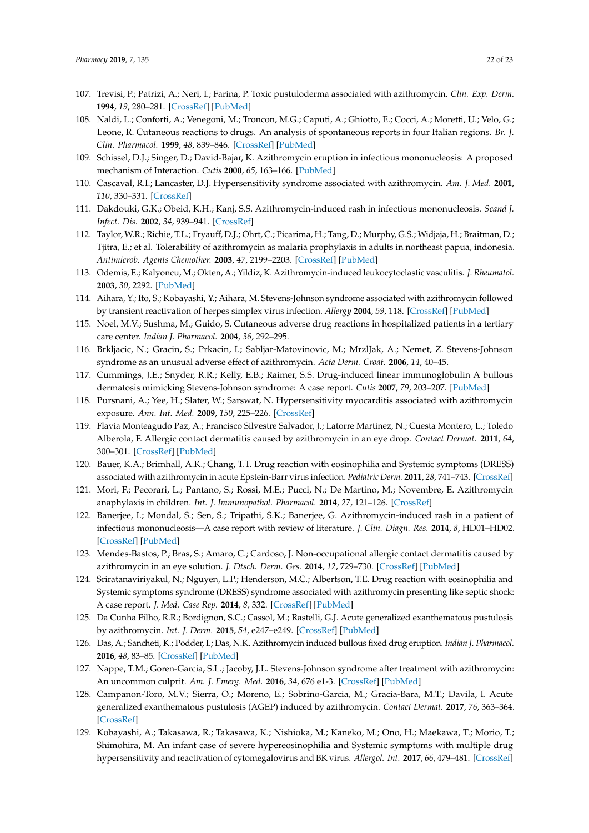- <span id="page-21-23"></span><span id="page-21-22"></span><span id="page-21-21"></span><span id="page-21-20"></span><span id="page-21-19"></span><span id="page-21-18"></span><span id="page-21-17"></span><span id="page-21-16"></span><span id="page-21-15"></span><span id="page-21-14"></span><span id="page-21-0"></span>107. Trevisi, P.; Patrizi, A.; Neri, I.; Farina, P. Toxic pustuloderma associated with azithromycin. *Clin. Exp. Derm.* **1994**, *19*, 280–281. [\[CrossRef\]](http://dx.doi.org/10.1111/j.1365-2230.1994.tb01191.x) [\[PubMed\]](http://www.ncbi.nlm.nih.gov/pubmed/8033402)
- <span id="page-21-24"></span><span id="page-21-6"></span>108. Naldi, L.; Conforti, A.; Venegoni, M.; Troncon, M.G.; Caputi, A.; Ghiotto, E.; Cocci, A.; Moretti, U.; Velo, G.; Leone, R. Cutaneous reactions to drugs. An analysis of spontaneous reports in four Italian regions. *Br. J. Clin. Pharmacol.* **1999**, *48*, 839–846. [\[CrossRef\]](http://dx.doi.org/10.1046/j.1365-2125.1999.00096.x) [\[PubMed\]](http://www.ncbi.nlm.nih.gov/pubmed/10594488)
- <span id="page-21-25"></span><span id="page-21-3"></span>109. Schissel, D.J.; Singer, D.; David-Bajar, K. Azithromycin eruption in infectious mononucleosis: A proposed mechanism of Interaction. *Cutis* **2000**, *65*, 163–166. [\[PubMed\]](http://www.ncbi.nlm.nih.gov/pubmed/10738636)
- <span id="page-21-26"></span>110. Cascaval, R.I.; Lancaster, D.J. Hypersensitivity syndrome associated with azithromycin. *Am. J. Med.* **2001**, *110*, 330–331. [\[CrossRef\]](http://dx.doi.org/10.1016/S0002-9343(00)00724-5)
- <span id="page-21-27"></span><span id="page-21-4"></span>111. Dakdouki, G.K.; Obeid, K.H.; Kanj, S.S. Azithromycin-induced rash in infectious mononucleosis. *Scand J. Infect. Dis.* **2002**, *34*, 939–941. [\[CrossRef\]](http://dx.doi.org/10.1080/0036554021000026949)
- <span id="page-21-13"></span>112. Taylor, W.R.; Richie, T.L.; Fryauff, D.J.; Ohrt, C.; Picarima, H.; Tang, D.; Murphy, G.S.; Widjaja, H.; Braitman, D.; Tjitra, E.; et al. Tolerability of azithromycin as malaria prophylaxis in adults in northeast papua, indonesia. *Antimicrob. Agents Chemother.* **2003**, *47*, 2199–2203. [\[CrossRef\]](http://dx.doi.org/10.1128/AAC.47.7.2199-2203.2003) [\[PubMed\]](http://www.ncbi.nlm.nih.gov/pubmed/12821468)
- <span id="page-21-28"></span><span id="page-21-12"></span>113. Odemis, E.; Kalyoncu, M.; Okten, A.; Yildiz, K. Azithromycin-induced leukocytoclastic vasculitis. *J. Rheumatol.* **2003**, *30*, 2292. [\[PubMed\]](http://www.ncbi.nlm.nih.gov/pubmed/14528532)
- <span id="page-21-29"></span>114. Aihara, Y.; Ito, S.; Kobayashi, Y.; Aihara, M. Stevens-Johnson syndrome associated with azithromycin followed by transient reactivation of herpes simplex virus infection. *Allergy* **2004**, *59*, 118. [\[CrossRef\]](http://dx.doi.org/10.1046/j.1398-9995.2003.00336.x) [\[PubMed\]](http://www.ncbi.nlm.nih.gov/pubmed/14674950)
- <span id="page-21-30"></span>115. Noel, M.V.; Sushma, M.; Guido, S. Cutaneous adverse drug reactions in hospitalized patients in a tertiary care center. *Indian J. Pharmacol.* **2004**, *36*, 292–295.
- 116. Brkljacic, N.; Gracin, S.; Prkacin, I.; Sabljar-Matovinovic, M.; MrzlJak, A.; Nemet, Z. Stevens-Johnson syndrome as an unusual adverse effect of azithromycin. *Acta Derm. Croat.* **2006**, *14*, 40–45.
- <span id="page-21-31"></span>117. Cummings, J.E.; Snyder, R.R.; Kelly, E.B.; Raimer, S.S. Drug-induced linear immunoglobulin A bullous dermatosis mimicking Stevens-Johnson syndrome: A case report. *Cutis* **2007**, *79*, 203–207. [\[PubMed\]](http://www.ncbi.nlm.nih.gov/pubmed/17674585)
- <span id="page-21-32"></span><span id="page-21-8"></span>118. Pursnani, A.; Yee, H.; Slater, W.; Sarswat, N. Hypersensitivity myocarditis associated with azithromycin exposure. *Ann. Int. Med.* **2009**, *150*, 225–226. [\[CrossRef\]](http://dx.doi.org/10.7326/0003-4819-150-3-200902030-00027)
- <span id="page-21-33"></span><span id="page-21-1"></span>119. Flavia Monteagudo Paz, A.; Francisco Silvestre Salvador, J.; Latorre Martinez, N.; Cuesta Montero, L.; Toledo Alberola, F. Allergic contact dermatitis caused by azithromycin in an eye drop. *Contact Dermat.* **2011**, *64*, 300–301. [\[CrossRef\]](http://dx.doi.org/10.1111/j.1600-0536.2010.01869.x) [\[PubMed\]](http://www.ncbi.nlm.nih.gov/pubmed/21480922)
- <span id="page-21-34"></span><span id="page-21-9"></span>120. Bauer, K.A.; Brimhall, A.K.; Chang, T.T. Drug reaction with eosinophilia and Systemic symptoms (DRESS) associated with azithromycin in acute Epstein-Barr virus infection. *Pediatric Derm.* **2011**, *28*, 741–743. [\[CrossRef\]](http://dx.doi.org/10.1111/j.1525-1470.2011.01558.x)
- <span id="page-21-7"></span>121. Mori, F.; Pecorari, L.; Pantano, S.; Rossi, M.E.; Pucci, N.; De Martino, M.; Novembre, E. Azithromycin anaphylaxis in children. *Int. J. Immunopathol. Pharmacol.* **2014**, *27*, 121–126. [\[CrossRef\]](http://dx.doi.org/10.1177/039463201402700116)
- <span id="page-21-5"></span>122. Banerjee, I.; Mondal, S.; Sen, S.; Tripathi, S.K.; Banerjee, G. Azithromycin-induced rash in a patient of infectious mononucleosis—A case report with review of literature. *J. Clin. Diagn. Res.* **2014**, *8*, HD01–HD02. [\[CrossRef\]](http://dx.doi.org/10.7860/JCDR/2014/9865.4729) [\[PubMed\]](http://www.ncbi.nlm.nih.gov/pubmed/25302218)
- <span id="page-21-2"></span>123. Mendes-Bastos, P.; Bras, S.; Amaro, C.; Cardoso, J. Non-occupational allergic contact dermatitis caused by azithromycin in an eye solution. *J. Dtsch. Derm. Ges.* **2014**, *12*, 729–730. [\[CrossRef\]](http://dx.doi.org/10.1111/ddg.12328) [\[PubMed\]](http://www.ncbi.nlm.nih.gov/pubmed/24943901)
- <span id="page-21-10"></span>124. Sriratanaviriyakul, N.; Nguyen, L.P.; Henderson, M.C.; Albertson, T.E. Drug reaction with eosinophilia and Systemic symptoms syndrome (DRESS) syndrome associated with azithromycin presenting like septic shock: A case report. *J. Med. Case Rep.* **2014**, *8*, 332. [\[CrossRef\]](http://dx.doi.org/10.1186/1752-1947-8-332) [\[PubMed\]](http://www.ncbi.nlm.nih.gov/pubmed/25297051)
- 125. Da Cunha Filho, R.R.; Bordignon, S.C.; Cassol, M.; Rastelli, G.J. Acute generalized exanthematous pustulosis by azithromycin. *Int. J. Derm.* **2015**, *54*, e247–e249. [\[CrossRef\]](http://dx.doi.org/10.1111/ijd.12778) [\[PubMed\]](http://www.ncbi.nlm.nih.gov/pubmed/25784092)
- 126. Das, A.; Sancheti, K.; Podder, I.; Das, N.K. Azithromycin induced bullous fixed drug eruption. *Indian J. Pharmacol.* **2016**, *48*, 83–85. [\[CrossRef\]](http://dx.doi.org/10.4103/0253-7613.174565) [\[PubMed\]](http://www.ncbi.nlm.nih.gov/pubmed/26997729)
- 127. Nappe, T.M.; Goren-Garcia, S.L.; Jacoby, J.L. Stevens-Johnson syndrome after treatment with azithromycin: An uncommon culprit. *Am. J. Emerg. Med.* **2016**, *34*, 676 e1-3. [\[CrossRef\]](http://dx.doi.org/10.1016/j.ajem.2015.06.039) [\[PubMed\]](http://www.ncbi.nlm.nih.gov/pubmed/26194400)
- 128. Campanon-Toro, M.V.; Sierra, O.; Moreno, E.; Sobrino-Garcia, M.; Gracia-Bara, M.T.; Davila, I. Acute generalized exanthematous pustulosis (AGEP) induced by azithromycin. *Contact Dermat.* **2017**, *76*, 363–364. [\[CrossRef\]](http://dx.doi.org/10.1111/cod.12717)
- <span id="page-21-11"></span>129. Kobayashi, A.; Takasawa, R.; Takasawa, K.; Nishioka, M.; Kaneko, M.; Ono, H.; Maekawa, T.; Morio, T.; Shimohira, M. An infant case of severe hypereosinophilia and Systemic symptoms with multiple drug hypersensitivity and reactivation of cytomegalovirus and BK virus. *Allergol. Int.* **2017**, *66*, 479–481. [\[CrossRef\]](http://dx.doi.org/10.1016/j.alit.2016.10.002)